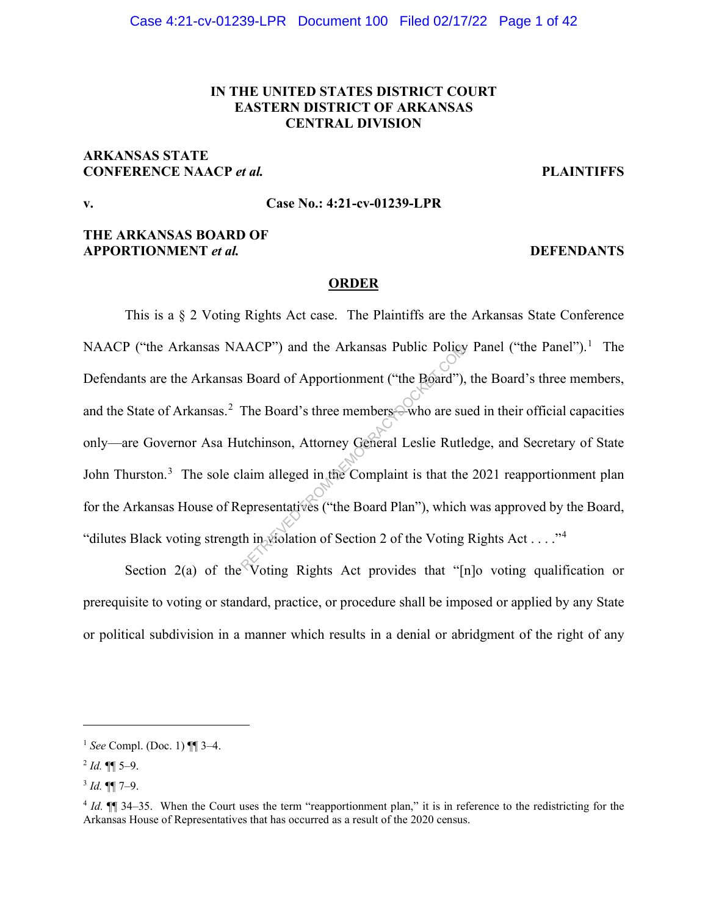# **IN THE UNITED STATES DISTRICT COURT EASTERN DISTRICT OF ARKANSAS CENTRAL DIVISION**

# **ARKANSAS STATE CONFERENCE NAACP** *et al.* **PLAINTIFFS**

# **v. Case No.: 4:21-cv-01239-LPR**

# **THE ARKANSAS BOARD OF APPORTIONMENT** *et al.* **DEFENDANTS**

#### **ORDER**

This is a § 2 Voting Rights Act case. The Plaintiffs are the Arkansas State Conference NAACP ("the Arkansas NAACP") and the Arkansas Public Policy Panel ("the Panel").<sup>1</sup> The Defendants are the Arkansas Board of Apportionment ("the Board"), the Board's three members, and the State of Arkansas.<sup>2</sup> The Board's three members—who are sued in their official capacities only—are Governor Asa Hutchinson, Attorney General Leslie Rutledge, and Secretary of State John Thurston.<sup>3</sup> The sole claim alleged in the Complaint is that the 2021 reapportionment plan for the Arkansas House of Representatives ("the Board Plan"), which was approved by the Board, "dilutes Black voting strength in violation of Section 2 of the Voting Rights Act . . . ."4 RETRIEVED and the Arkansas Public Policy<br>
Board of Apportionment ("the Board"),<br>
The Board's three members who are su<br>
atchinson, Attorney General Leslie Rutle<br>
laim alleged in the Complaint is that the<br>
epresentatives ("t

Section 2(a) of the Voting Rights Act provides that "[n]o voting qualification or prerequisite to voting or standard, practice, or procedure shall be imposed or applied by any State or political subdivision in a manner which results in a denial or abridgment of the right of any

<sup>1</sup> *See* Compl. (Doc. 1) ¶¶ 3–4.

 $^{2}$  *Id.* ¶¶ 5–9.

<sup>3</sup> *Id.* ¶¶ 7–9.

<sup>&</sup>lt;sup>4</sup> *Id.*  $\mathbb{I}$  34–35. When the Court uses the term "reapportionment plan," it is in reference to the redistricting for the Arkansas House of Representatives that has occurred as a result of the 2020 census.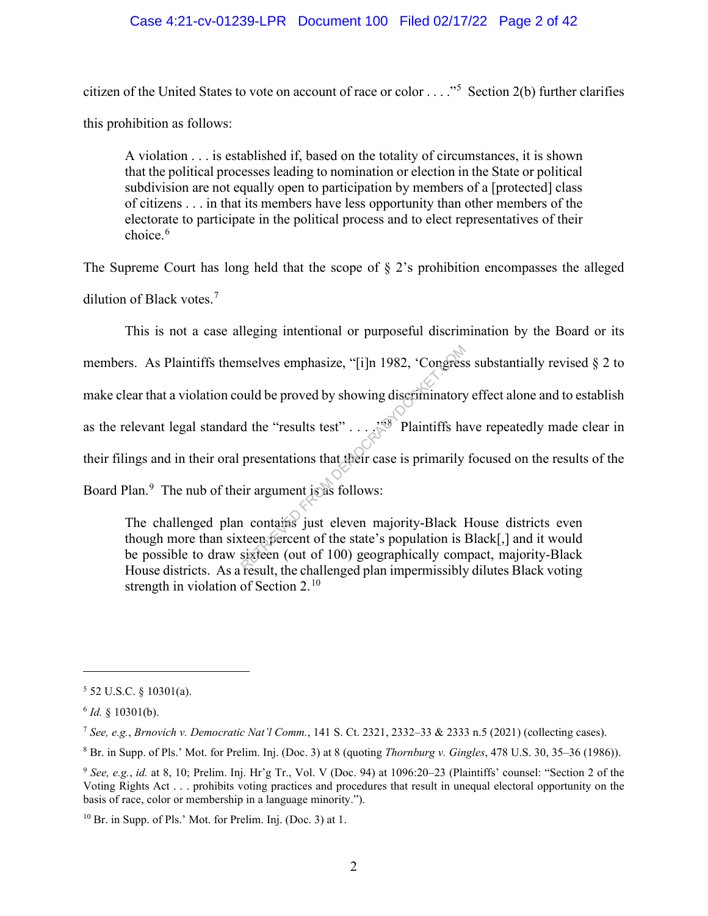# Case 4:21-cv-01239-LPR Document 100 Filed 02/17/22 Page 2 of 42

citizen of the United States to vote on account of race or color . . . . . . . Section 2(b) further clarifies this prohibition as follows:

A violation . . . is established if, based on the totality of circumstances, it is shown that the political processes leading to nomination or election in the State or political subdivision are not equally open to participation by members of a [protected] class of citizens . . . in that its members have less opportunity than other members of the electorate to participate in the political process and to elect representatives of their choice.<sup>6</sup>

The Supreme Court has long held that the scope of  $\S$  2's prohibition encompasses the alleged dilution of Black votes.<sup>7</sup>

This is not a case alleging intentional or purposeful discrimination by the Board or its members. As Plaintiffs themselves emphasize, "[i]n 1982, 'Congress substantially revised § 2 to make clear that a violation could be proved by showing discriminatory effect alone and to establish as the relevant legal standard the "results test" . . . .'"<sup>8</sup> Plaintiffs have repeatedly made clear in their filings and in their oral presentations that their case is primarily focused on the results of the Board Plan.<sup>9</sup> The nub of their argument is as follows: mselves emphasize, "[i]n 1982, 'Congress<br>
buld be proved by showing discriminatory<br>
d the "results test"....<sup>198</sup> Plaintiffs has<br>
presentations that their case is primarily<br>
presentations that their case is primarily<br>
ir a

The challenged plan contains just eleven majority-Black House districts even though more than sixteen percent of the state's population is Black[,] and it would be possible to draw sixteen (out of 100) geographically compact, majority-Black House districts. As a result, the challenged plan impermissibly dilutes Black voting strength in violation of Section  $2.^{10}$ 

 $5$  52 U.S.C. § 10301(a).

<sup>6</sup> *Id.* § 10301(b).

<sup>7</sup> *See, e.g.*, *Brnovich v. Democratic Nat'l Comm.*, 141 S. Ct. 2321, 2332–33 & 2333 n.5 (2021) (collecting cases).

<sup>8</sup> Br. in Supp. of Pls.' Mot. for Prelim. Inj. (Doc. 3) at 8 (quoting *Thornburg v. Gingles*, 478 U.S. 30, 35–36 (1986)).

<sup>9</sup> *See, e.g.*, *id.* at 8, 10; Prelim. Inj. Hr'g Tr., Vol. V (Doc. 94) at 1096:20–23 (Plaintiffs' counsel: "Section 2 of the Voting Rights Act . . . prohibits voting practices and procedures that result in unequal electoral opportunity on the basis of race, color or membership in a language minority.").

<sup>10</sup> Br. in Supp. of Pls.' Mot. for Prelim. Inj. (Doc. 3) at 1.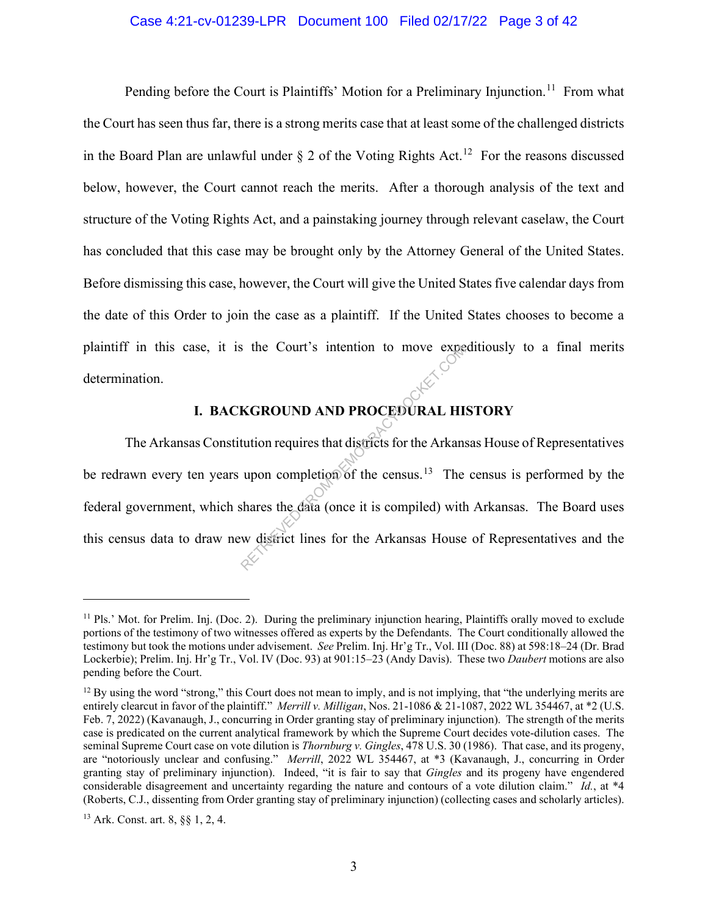### Case 4:21-cv-01239-LPR Document 100 Filed 02/17/22 Page 3 of 42

Pending before the Court is Plaintiffs' Motion for a Preliminary Injunction.<sup>11</sup> From what the Court has seen thus far, there is a strong merits case that at least some of the challenged districts in the Board Plan are unlawful under  $\S 2$  of the Voting Rights Act.<sup>12</sup> For the reasons discussed below, however, the Court cannot reach the merits. After a thorough analysis of the text and structure of the Voting Rights Act, and a painstaking journey through relevant caselaw, the Court has concluded that this case may be brought only by the Attorney General of the United States. Before dismissing this case, however, the Court will give the United States five calendar days from the date of this Order to join the case as a plaintiff. If the United States chooses to become a plaintiff in this case, it is the Court's intention to move expeditiously to a final merits determination.

# **I. BACKGROUND AND PROCEDURAL HISTORY**

The Arkansas Constitution requires that districts for the Arkansas House of Representatives be redrawn every ten years upon completion of the census.<sup>13</sup> The census is performed by the federal government, which shares the data (once it is compiled) with Arkansas. The Board uses this census data to draw new district lines for the Arkansas House of Representatives and the RETRIEVED FROM THE COUNTY STATE INTERNATION OF THE EXAMPLE THE EXAMPLE THE SURVEY OF THE SHARES the data (once it is compiled) with the shares the data (once it is compiled) with the district lines for the Arkansas House

 $11$  Pls.' Mot. for Prelim. Inj. (Doc. 2). During the preliminary injunction hearing, Plaintiffs orally moved to exclude portions of the testimony of two witnesses offered as experts by the Defendants. The Court conditionally allowed the testimony but took the motions under advisement. *See* Prelim. Inj. Hr'g Tr., Vol. III (Doc. 88) at 598:18–24 (Dr. Brad Lockerbie); Prelim. Inj. Hr'g Tr., Vol. IV (Doc. 93) at 901:15–23 (Andy Davis). These two *Daubert* motions are also pending before the Court.

 $12$  By using the word "strong," this Court does not mean to imply, and is not implying, that "the underlying merits are entirely clearcut in favor of the plaintiff." *Merrill v. Milligan*, Nos. 21-1086 & 21-1087, 2022 WL 354467, at \*2 (U.S. Feb. 7, 2022) (Kavanaugh, J., concurring in Order granting stay of preliminary injunction). The strength of the merits case is predicated on the current analytical framework by which the Supreme Court decides vote-dilution cases. The seminal Supreme Court case on vote dilution is *Thornburg v. Gingles*, 478 U.S. 30 (1986). That case, and its progeny, are "notoriously unclear and confusing." *Merrill*, 2022 WL 354467, at \*3 (Kavanaugh, J., concurring in Order granting stay of preliminary injunction). Indeed, "it is fair to say that *Gingles* and its progeny have engendered considerable disagreement and uncertainty regarding the nature and contours of a vote dilution claim." *Id.*, at \*4 (Roberts, C.J., dissenting from Order granting stay of preliminary injunction) (collecting cases and scholarly articles).

<sup>13</sup> Ark. Const. art. 8, §§ 1, 2, 4.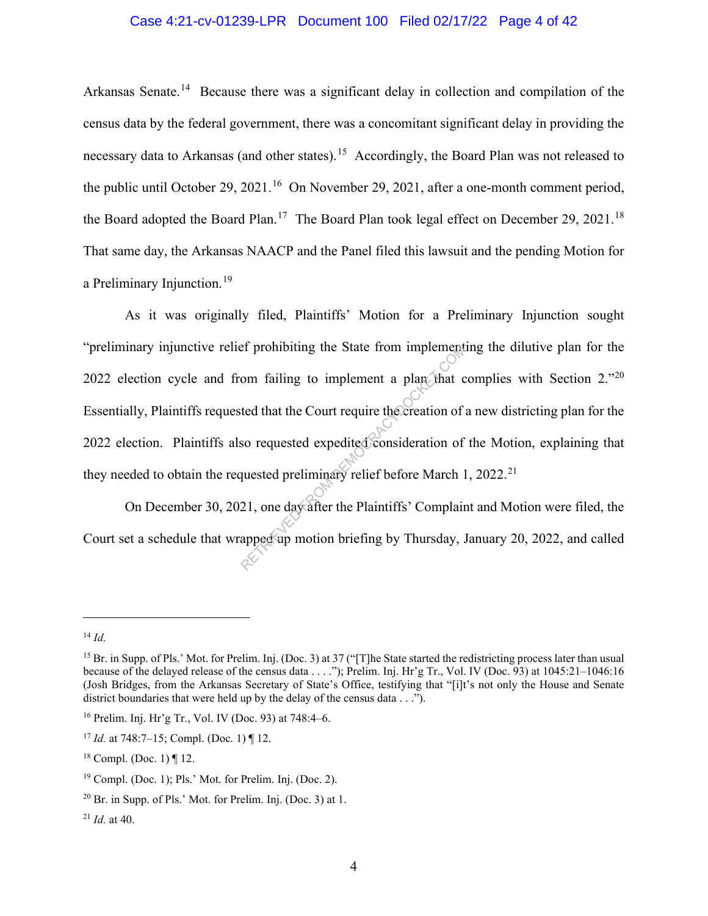# Case 4:21-cv-01239-LPR Document 100 Filed 02/17/22 Page 4 of 42

Arkansas Senate.<sup>14</sup> Because there was a significant delay in collection and compilation of the census data by the federal government, there was a concomitant significant delay in providing the necessary data to Arkansas (and other states).<sup>15</sup> Accordingly, the Board Plan was not released to the public until October 29, 2021.<sup>16</sup> On November 29, 2021, after a one-month comment period, the Board adopted the Board Plan.<sup>17</sup> The Board Plan took legal effect on December 29, 2021.<sup>18</sup> That same day, the Arkansas NAACP and the Panel filed this lawsuit and the pending Motion for a Preliminary Injunction.<sup>19</sup>

As it was originally filed, Plaintiffs' Motion for a Preliminary Injunction sought "preliminary injunctive relief prohibiting the State from implementing the dilutive plan for the 2022 election cycle and from failing to implement a plan that complies with Section 2."<sup>20</sup> Essentially, Plaintiffs requested that the Court require the creation of a new districting plan for the 2022 election. Plaintiffs also requested expedited consideration of the Motion, explaining that they needed to obtain the requested preliminary relief before March 1, 2022.<sup>21</sup> external implement of prohibiting the State from implement<br>om failing to implement a plan that c<br>ted that the Court require the creation of<br>so requested expedited consideration of<br>quested preliminary relief before March 1<br>

On December 30, 2021, one day after the Plaintiffs' Complaint and Motion were filed, the Court set a schedule that wrapped up motion briefing by Thursday, January 20, 2022, and called

<sup>14</sup> *Id.*

<sup>&</sup>lt;sup>15</sup> Br. in Supp. of Pls.' Mot. for Prelim. Inj. (Doc. 3) at 37 ("[T]he State started the redistricting process later than usual because of the delayed release of the census data . . . ."); Prelim. Inj. Hr'g Tr., Vol. IV (Doc. 93) at 1045:21–1046:16 (Josh Bridges, from the Arkansas Secretary of State's Office, testifying that "[i]t's not only the House and Senate district boundaries that were held up by the delay of the census data . . .").

<sup>16</sup> Prelim. Inj. Hr'g Tr., Vol. IV (Doc. 93) at 748:4–6.

<sup>17</sup> *Id.* at 748:7–15; Compl. (Doc. 1) ¶ 12.

<sup>&</sup>lt;sup>18</sup> Compl. (Doc. 1)  $\P$  12.

<sup>19</sup> Compl. (Doc. 1); Pls.' Mot. for Prelim. Inj. (Doc. 2).

 $20$  Br. in Supp. of Pls.' Mot. for Prelim. Inj. (Doc. 3) at 1.

 $^{21}$  *Id.* at 40.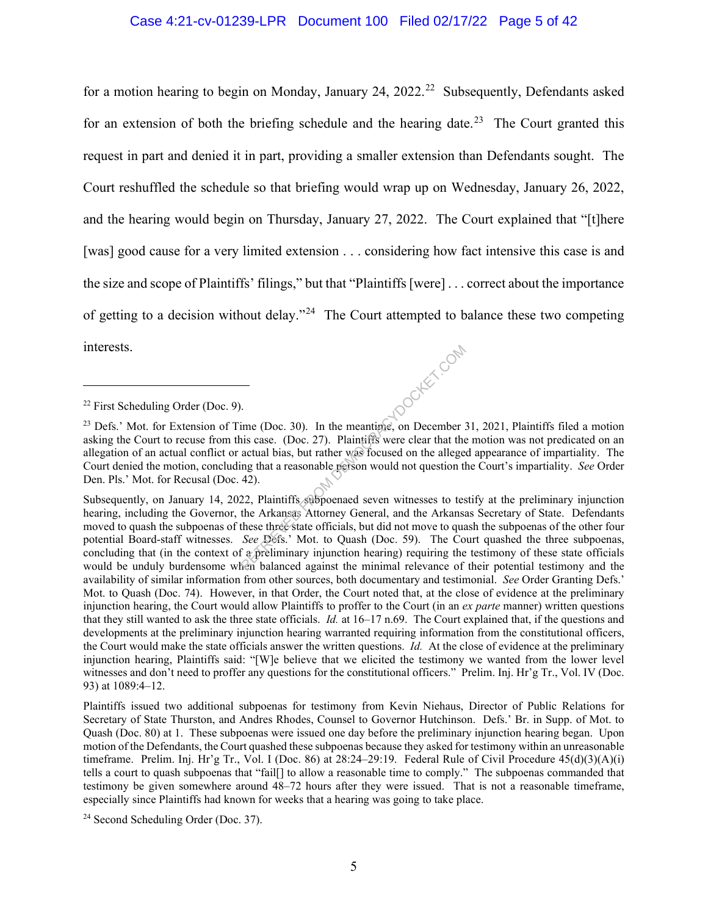### Case 4:21-cv-01239-LPR Document 100 Filed 02/17/22 Page 5 of 42

for a motion hearing to begin on Monday, January 24, 2022.<sup>22</sup> Subsequently, Defendants asked for an extension of both the briefing schedule and the hearing date.<sup>23</sup> The Court granted this request in part and denied it in part, providing a smaller extension than Defendants sought. The Court reshuffled the schedule so that briefing would wrap up on Wednesday, January 26, 2022, and the hearing would begin on Thursday, January 27, 2022. The Court explained that "[t]here [was] good cause for a very limited extension . . . considering how fact intensive this case is and the size and scope of Plaintiffs' filings," but that "Plaintiffs [were] . . . correct about the importance of getting to a decision without delay."<sup>24</sup> The Court attempted to balance these two competing interests. **HDOCKET.COM** 

Subsequently, on January 14, 2022, Plaintiffs subpoenaed seven witnesses to testify at the preliminary injunction hearing, including the Governor, the Arkansas Attorney General, and the Arkansas Secretary of State. Defendants moved to quash the subpoenas of these three state officials, but did not move to quash the subpoenas of the other four potential Board-staff witnesses. *See* Defs.' Mot. to Quash (Doc. 59). The Court quashed the three subpoenas, concluding that (in the context of a preliminary injunction hearing) requiring the testimony of these state officials would be unduly burdensome when balanced against the minimal relevance of their potential testimony and the availability of similar information from other sources, both documentary and testimonial. *See* Order Granting Defs.' Mot. to Quash (Doc. 74). However, in that Order, the Court noted that, at the close of evidence at the preliminary injunction hearing, the Court would allow Plaintiffs to proffer to the Court (in an *ex parte* manner) written questions that they still wanted to ask the three state officials. *Id.* at 16–17 n.69. The Court explained that, if the questions and developments at the preliminary injunction hearing warranted requiring information from the constitutional officers, the Court would make the state officials answer the written questions. *Id.* At the close of evidence at the preliminary injunction hearing, Plaintiffs said: "[W]e believe that we elicited the testimony we wanted from the lower level witnesses and don't need to proffer any questions for the constitutional officers." Prelim. Inj. Hr'g Tr., Vol. IV (Doc. 93) at 1089:4–12.

Plaintiffs issued two additional subpoenas for testimony from Kevin Niehaus, Director of Public Relations for Secretary of State Thurston, and Andres Rhodes, Counsel to Governor Hutchinson. Defs.' Br. in Supp. of Mot. to Quash (Doc. 80) at 1. These subpoenas were issued one day before the preliminary injunction hearing began. Upon motion of the Defendants, the Court quashed these subpoenas because they asked for testimony within an unreasonable timeframe. Prelim. Inj. Hr'g Tr., Vol. I (Doc. 86) at  $28:24-29:19$ . Federal Rule of Civil Procedure  $45(d)(3)(A)(i)$ tells a court to quash subpoenas that "fail[] to allow a reasonable time to comply." The subpoenas commanded that testimony be given somewhere around 48–72 hours after they were issued. That is not a reasonable timeframe, especially since Plaintiffs had known for weeks that a hearing was going to take place.

<sup>24</sup> Second Scheduling Order (Doc. 37).

<sup>22</sup> First Scheduling Order (Doc. 9).

<sup>&</sup>lt;sup>23</sup> Defs.' Mot. for Extension of Time (Doc. 30). In the meantime, on December 31, 2021, Plaintiffs filed a motion asking the Court to recuse from this case. (Doc. 27). Plaintiffs were clear that the motion was not predicated on an allegation of an actual conflict or actual bias, but rather was focused on the alleged appearance of impartiality. The Court denied the motion, concluding that a reasonable person would not question the Court's impartiality. *See* Order Den. Pls.' Mot. for Recusal (Doc. 42).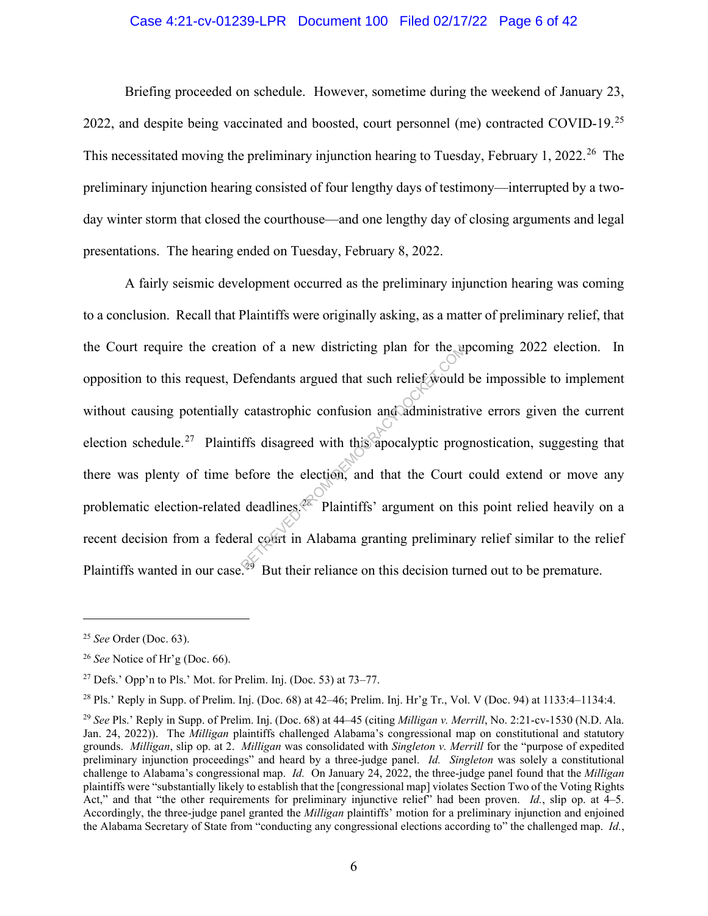### Case 4:21-cv-01239-LPR Document 100 Filed 02/17/22 Page 6 of 42

Briefing proceeded on schedule. However, sometime during the weekend of January 23, 2022, and despite being vaccinated and boosted, court personnel (me) contracted COVID-19.<sup>25</sup> This necessitated moving the preliminary injunction hearing to Tuesday, February 1, 2022<sup>26</sup> The preliminary injunction hearing consisted of four lengthy days of testimony—interrupted by a twoday winter storm that closed the courthouse—and one lengthy day of closing arguments and legal presentations. The hearing ended on Tuesday, February 8, 2022.

A fairly seismic development occurred as the preliminary injunction hearing was coming to a conclusion. Recall that Plaintiffs were originally asking, as a matter of preliminary relief, that the Court require the creation of a new districting plan for the upcoming 2022 election. In opposition to this request, Defendants argued that such relief would be impossible to implement without causing potentially catastrophic confusion and administrative errors given the current election schedule.<sup>27</sup> Plaintiffs disagreed with this apocalyptic prognostication, suggesting that there was plenty of time before the election, and that the Court could extend or move any problematic election-related deadlines.28 Plaintiffs' argument on this point relied heavily on a recent decision from a federal court in Alabama granting preliminary relief similar to the relief Plaintiffs wanted in our case.<sup>29</sup> But their reliance on this decision turned out to be premature. The districting plan for the and<br>Defendants argued that such relief would<br>catastrophic confusion and administrat<br>ffs disagreed with this apocalyptic prog<br>nefore the election, and that the Court<br>deadlines.<sup>28</sup> Plaintiffs' a

<sup>25</sup> *See* Order (Doc. 63).

<sup>26</sup> *See* Notice of Hr'g (Doc. 66).

<sup>&</sup>lt;sup>27</sup> Defs.' Opp'n to Pls.' Mot. for Prelim. Inj. (Doc. 53) at  $73-77$ .

<sup>&</sup>lt;sup>28</sup> Pls.' Reply in Supp. of Prelim. Inj. (Doc. 68) at  $42-46$ ; Prelim. Inj. Hr'g Tr., Vol. V (Doc. 94) at  $1133:4-1134:4$ .

<sup>29</sup> *See* Pls.' Reply in Supp. of Prelim. Inj. (Doc. 68) at 44–45 (citing *Milligan v. Merrill*, No. 2:21-cv-1530 (N.D. Ala. Jan. 24, 2022)). The *Milligan* plaintiffs challenged Alabama's congressional map on constitutional and statutory grounds. *Milligan*, slip op. at 2. *Milligan* was consolidated with *Singleton v. Merrill* for the "purpose of expedited preliminary injunction proceedings" and heard by a three-judge panel. *Id. Singleton* was solely a constitutional challenge to Alabama's congressional map. *Id.* On January 24, 2022, the three-judge panel found that the *Milligan*  plaintiffs were "substantially likely to establish that the [congressional map] violates Section Two of the Voting Rights Act," and that "the other requirements for preliminary injunctive relief" had been proven. *Id.*, slip op. at 4–5. Accordingly, the three-judge panel granted the *Milligan* plaintiffs' motion for a preliminary injunction and enjoined the Alabama Secretary of State from "conducting any congressional elections according to" the challenged map. *Id.*,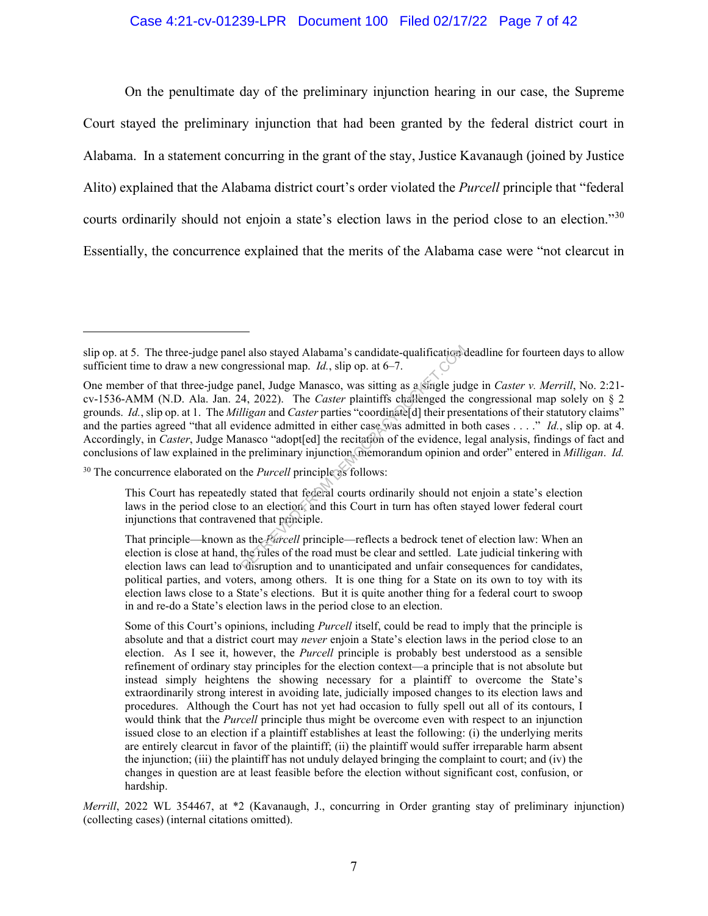### Case 4:21-cv-01239-LPR Document 100 Filed 02/17/22 Page 7 of 42

On the penultimate day of the preliminary injunction hearing in our case, the Supreme Court stayed the preliminary injunction that had been granted by the federal district court in Alabama. In a statement concurring in the grant of the stay, Justice Kavanaugh (joined by Justice Alito) explained that the Alabama district court's order violated the *Purcell* principle that "federal courts ordinarily should not enjoin a state's election laws in the period close to an election."30 Essentially, the concurrence explained that the merits of the Alabama case were "not clearcut in

<sup>30</sup> The concurrence elaborated on the *Purcell* principle as follows:

*Merrill*, 2022 WL 354467, at \*2 (Kavanaugh, J., concurring in Order granting stay of preliminary injunction) (collecting cases) (internal citations omitted).

slip op. at 5. The three-judge panel also stayed Alabama's candidate-qualification deadline for fourteen days to allow sufficient time to draw a new congressional map. *Id.*, slip op. at 6–7.

One member of that three-judge panel, Judge Manasco, was sitting as a single judge in *Caster v. Merrill*, No. 2:21 cv-1536-AMM (N.D. Ala. Jan. 24, 2022). The *Caster* plaintiffs challenged the congressional map solely on § 2 grounds. *Id.*, slip op. at 1. The *Milligan* and *Caster* parties "coordinate[d] their presentations of their statutory claims" and the parties agreed "that all evidence admitted in either case was admitted in both cases . . . ." *Id.*, slip op. at 4. Accordingly, in *Caster*, Judge Manasco "adopt[ed] the recitation of the evidence, legal analysis, findings of fact and conclusions of law explained in the preliminary injunction, memorandum opinion and order" entered in *Milligan*. *Id.* Example 1 also stayed Alabama's candidate-qualifications<br>gressional map.  $Id$ , slip op. at 6–7.<br>
Danel, Judge Manasco, was sitting as a single jud<br>
4, 2022). The *Caster* plaintiffs challenged the<br> *Higan* and *Caster* par

This Court has repeatedly stated that federal courts ordinarily should not enjoin a state's election laws in the period close to an election, and this Court in turn has often stayed lower federal court injunctions that contravened that principle.

That principle—known as the *Purcell* principle—reflects a bedrock tenet of election law: When an election is close at hand, the rules of the road must be clear and settled. Late judicial tinkering with election laws can lead to disruption and to unanticipated and unfair consequences for candidates, political parties, and voters, among others. It is one thing for a State on its own to toy with its election laws close to a State's elections. But it is quite another thing for a federal court to swoop in and re-do a State's election laws in the period close to an election.

Some of this Court's opinions, including *Purcell* itself, could be read to imply that the principle is absolute and that a district court may *never* enjoin a State's election laws in the period close to an election. As I see it, however, the *Purcell* principle is probably best understood as a sensible refinement of ordinary stay principles for the election context—a principle that is not absolute but instead simply heightens the showing necessary for a plaintiff to overcome the State's extraordinarily strong interest in avoiding late, judicially imposed changes to its election laws and procedures. Although the Court has not yet had occasion to fully spell out all of its contours, I would think that the *Purcell* principle thus might be overcome even with respect to an injunction issued close to an election if a plaintiff establishes at least the following: (i) the underlying merits are entirely clearcut in favor of the plaintiff; (ii) the plaintiff would suffer irreparable harm absent the injunction; (iii) the plaintiff has not unduly delayed bringing the complaint to court; and (iv) the changes in question are at least feasible before the election without significant cost, confusion, or hardship.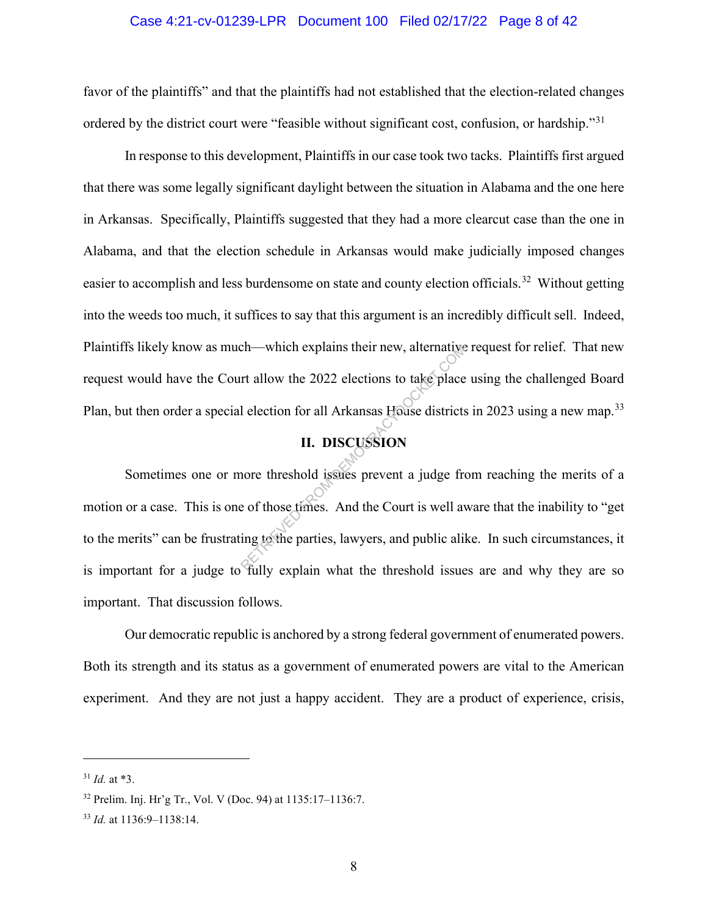#### Case 4:21-cv-01239-LPR Document 100 Filed 02/17/22 Page 8 of 42

favor of the plaintiffs" and that the plaintiffs had not established that the election-related changes ordered by the district court were "feasible without significant cost, confusion, or hardship."<sup>31</sup>

In response to this development, Plaintiffs in our case took two tacks. Plaintiffs first argued that there was some legally significant daylight between the situation in Alabama and the one here in Arkansas. Specifically, Plaintiffs suggested that they had a more clearcut case than the one in Alabama, and that the election schedule in Arkansas would make judicially imposed changes easier to accomplish and less burdensome on state and county election officials.<sup>32</sup> Without getting into the weeds too much, it suffices to say that this argument is an incredibly difficult sell. Indeed, Plaintiffs likely know as much—which explains their new, alternative request for relief. That new request would have the Court allow the 2022 elections to take place using the challenged Board Plan, but then order a special election for all Arkansas House districts in 2023 using a new map.<sup>33</sup>

# **II. DISCUSSION**

Sometimes one or more threshold issues prevent a judge from reaching the merits of a motion or a case. This is one of those times. And the Court is well aware that the inability to "get to the merits" can be frustrating to the parties, lawyers, and public alike. In such circumstances, it is important for a judge to fully explain what the threshold issues are and why they are so important. That discussion follows. Ch—which explains their new, alternative<br>
rt allow the 2022 elections to take place<br>
l election for all Arkansas House districts<br> **II. DISCUSSION**<br>
nore threshold issues prevent a judge free of those times. And the Court i

Our democratic republic is anchored by a strong federal government of enumerated powers. Both its strength and its status as a government of enumerated powers are vital to the American experiment. And they are not just a happy accident. They are a product of experience, crisis,

<sup>31</sup> *Id.* at \*3.

<sup>32</sup> Prelim. Inj. Hr'g Tr., Vol. V (Doc. 94) at 1135:17–1136:7.

<sup>33</sup> *Id.* at 1136:9–1138:14.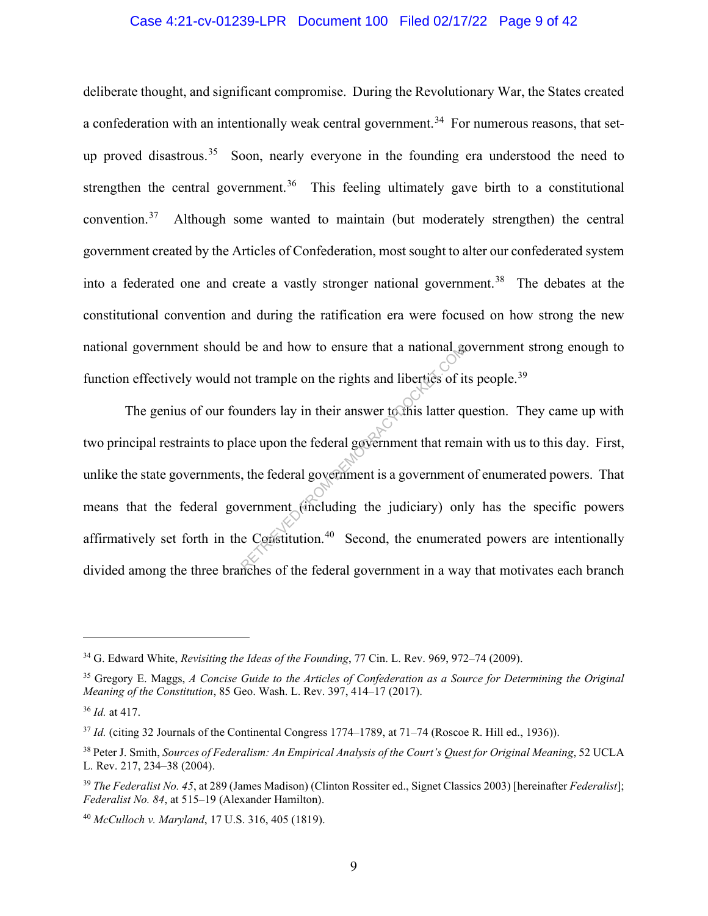#### Case 4:21-cv-01239-LPR Document 100 Filed 02/17/22 Page 9 of 42

deliberate thought, and significant compromise. During the Revolutionary War, the States created a confederation with an intentionally weak central government.<sup>34</sup> For numerous reasons, that setup proved disastrous.<sup>35</sup> Soon, nearly everyone in the founding era understood the need to strengthen the central government.<sup>36</sup> This feeling ultimately gave birth to a constitutional convention. $37$  Although some wanted to maintain (but moderately strengthen) the central government created by the Articles of Confederation, most sought to alter our confederated system into a federated one and create a vastly stronger national government. 38 The debates at the constitutional convention and during the ratification era were focused on how strong the new national government should be and how to ensure that a national government strong enough to function effectively would not trample on the rights and liberties of its people.<sup>39</sup>

The genius of our founders lay in their answer to this latter question. They came up with two principal restraints to place upon the federal government that remain with us to this day. First, unlike the state governments, the federal government is a government of enumerated powers. That means that the federal government (including the judiciary) only has the specific powers affirmatively set forth in the Constitution.<sup>40</sup> Second, the enumerated powers are intentionally divided among the three branches of the federal government in a way that motivates each branch be and how to ensure that a national good trample on the rights and liberties of it<br>unders lay in their answer to this latter que upon the federal government that rem<br>t, the federal government is a government<br>vernment (in

<sup>34</sup> G. Edward White, *Revisiting the Ideas of the Founding*, 77 Cin. L. Rev. 969, 972–74 (2009).

<sup>35</sup> Gregory E. Maggs, *A Concise Guide to the Articles of Confederation as a Source for Determining the Original Meaning of the Constitution*, 85 Geo. Wash. L. Rev. 397, 414–17 (2017).

<sup>36</sup> *Id.* at 417.

<sup>&</sup>lt;sup>37</sup> *Id.* (citing 32 Journals of the Continental Congress 1774–1789, at 71–74 (Roscoe R. Hill ed., 1936)).

<sup>38</sup> Peter J. Smith, *Sources of Federalism: An Empirical Analysis of the Court's Quest for Original Meaning*, 52 UCLA L. Rev. 217, 234–38 (2004).

<sup>39</sup> *The Federalist No. 45*, at 289 (James Madison) (Clinton Rossiter ed., Signet Classics 2003) [hereinafter *Federalist*]; *Federalist No. 84*, at 515–19 (Alexander Hamilton).

<sup>40</sup> *McCulloch v. Maryland*, 17 U.S. 316, 405 (1819).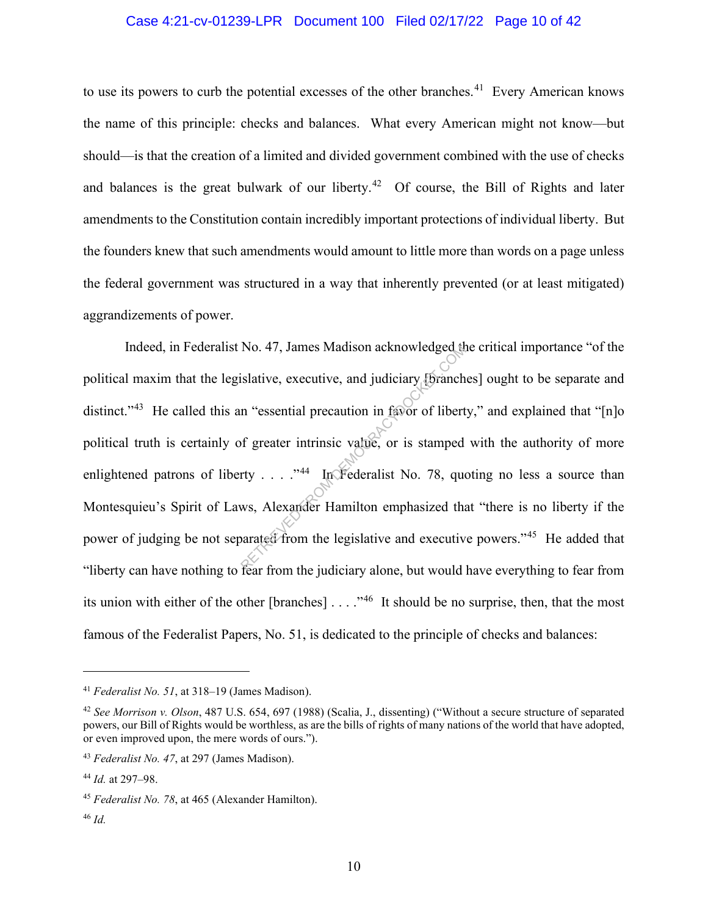#### Case 4:21-cv-01239-LPR Document 100 Filed 02/17/22 Page 10 of 42

to use its powers to curb the potential excesses of the other branches.<sup>41</sup> Every American knows the name of this principle: checks and balances. What every American might not know—but should—is that the creation of a limited and divided government combined with the use of checks and balances is the great bulwark of our liberty.<sup>42</sup> Of course, the Bill of Rights and later amendments to the Constitution contain incredibly important protections of individual liberty. But the founders knew that such amendments would amount to little more than words on a page unless the federal government was structured in a way that inherently prevented (or at least mitigated) aggrandizements of power.

Indeed, in Federalist No. 47, James Madison acknowledged the critical importance "of the political maxim that the legislative, executive, and judiciary [branches] ought to be separate and distinct."<sup>43</sup> He called this an "essential precaution in favor of liberty," and explained that "[n]o political truth is certainly of greater intrinsic value, or is stamped with the authority of more enlightened patrons of liberty . . . . "44 In Federalist No. 78, quoting no less a source than Montesquieu's Spirit of Laws, Alexander Hamilton emphasized that "there is no liberty if the power of judging be not separated from the legislative and executive powers."<sup>45</sup> He added that "liberty can have nothing to fear from the judiciary alone, but would have everything to fear from its union with either of the other [branches]  $\dots$  ."<sup>46</sup> It should be no surprise, then, that the most famous of the Federalist Papers, No. 51, is dedicated to the principle of checks and balances: RETRIEVED FROM DEMOCRACYDOCKET.COM

<sup>41</sup> *Federalist No. 51*, at 318–19 (James Madison).

<sup>42</sup> *See Morrison v. Olson*, 487 U.S. 654, 697 (1988) (Scalia, J., dissenting) ("Without a secure structure of separated powers, our Bill of Rights would be worthless, as are the bills of rights of many nations of the world that have adopted, or even improved upon, the mere words of ours.").

<sup>43</sup> *Federalist No. 47*, at 297 (James Madison).

<sup>44</sup> *Id.* at 297–98.

<sup>45</sup> *Federalist No. 78*, at 465 (Alexander Hamilton).

<sup>46</sup> *Id.*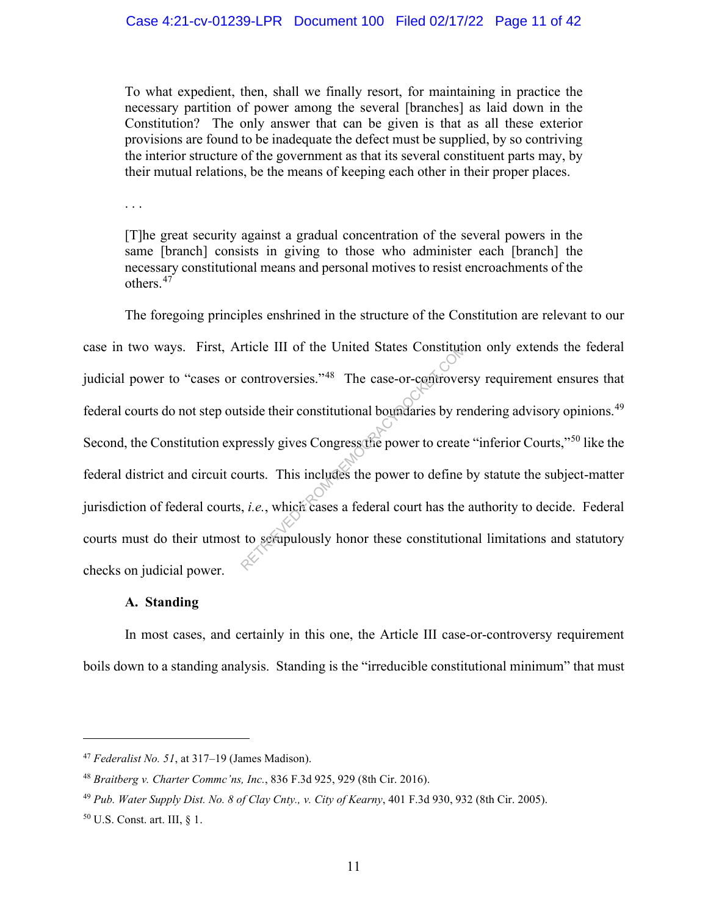To what expedient, then, shall we finally resort, for maintaining in practice the necessary partition of power among the several [branches] as laid down in the Constitution? The only answer that can be given is that as all these exterior provisions are found to be inadequate the defect must be supplied, by so contriving the interior structure of the government as that its several constituent parts may, by their mutual relations, be the means of keeping each other in their proper places.

. . .

[T]he great security against a gradual concentration of the several powers in the same [branch] consists in giving to those who administer each [branch] the necessary constitutional means and personal motives to resist encroachments of the others. $47$ 

The foregoing principles enshrined in the structure of the Constitution are relevant to our case in two ways. First, Article III of the United States Constitution only extends the federal judicial power to "cases or controversies."<sup>48</sup> The case-or-controversy requirement ensures that federal courts do not step outside their constitutional boundaries by rendering advisory opinions.49 Second, the Constitution expressly gives Congress the power to create "inferior Courts,"<sup>50</sup> like the federal district and circuit courts. This includes the power to define by statute the subject-matter jurisdiction of federal courts, *i.e.*, which cases a federal court has the authority to decide. Federal courts must do their utmost to scrupulously honor these constitutional limitations and statutory checks on judicial power. rticle III of the United States Constitution<br>controversies."<sup>48</sup> The case-or-controver<br>stide their constitutional boundaries by re<br>pressly gives Congress the power to create<br>ourts. This includes the power to define<br>it, *i.* 

#### **A. Standing**

In most cases, and certainly in this one, the Article III case-or-controversy requirement boils down to a standing analysis. Standing is the "irreducible constitutional minimum" that must

<sup>47</sup> *Federalist No. 51*, at 317–19 (James Madison).

<sup>48</sup> *Braitberg v. Charter Commc'ns, Inc.*, 836 F.3d 925, 929 (8th Cir. 2016).

<sup>49</sup> *Pub. Water Supply Dist. No. 8 of Clay Cnty., v. City of Kearny*, 401 F.3d 930, 932 (8th Cir. 2005).

<sup>50</sup> U.S. Const. art. III, § 1.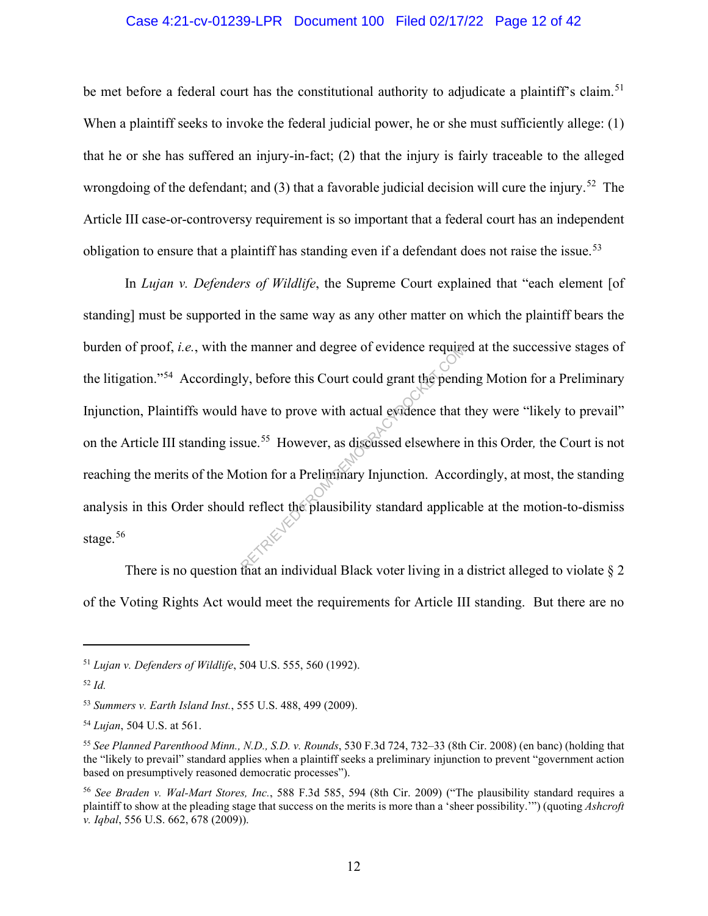### Case 4:21-cv-01239-LPR Document 100 Filed 02/17/22 Page 12 of 42

be met before a federal court has the constitutional authority to adjudicate a plaintiff's claim.<sup>51</sup> When a plaintiff seeks to invoke the federal judicial power, he or she must sufficiently allege: (1) that he or she has suffered an injury-in-fact; (2) that the injury is fairly traceable to the alleged wrongdoing of the defendant; and (3) that a favorable judicial decision will cure the injury.<sup>52</sup> The Article III case-or-controversy requirement is so important that a federal court has an independent obligation to ensure that a plaintiff has standing even if a defendant does not raise the issue.<sup>53</sup>

In *Lujan v. Defenders of Wildlife*, the Supreme Court explained that "each element [of standing] must be supported in the same way as any other matter on which the plaintiff bears the burden of proof, *i.e.*, with the manner and degree of evidence required at the successive stages of the litigation."54 Accordingly, before this Court could grant the pending Motion for a Preliminary Injunction, Plaintiffs would have to prove with actual evidence that they were "likely to prevail" on the Article III standing issue. 55 However, as discussed elsewhere in this Order*,* the Court is not reaching the merits of the Motion for a Preliminary Injunction. Accordingly, at most, the standing analysis in this Order should reflect the plausibility standard applicable at the motion-to-dismiss stage. $56$ e manner and degree of evidence require<br>
ly, before this Court could grant the pendi<br>
have to prove with actual evidence that t<br>
sue.<sup>55</sup> However, as discussed elsewhere i<br>
otion for a Preliminary Injunction. Accord<br>
d ref

There is no question that an individual Black voter living in a district alleged to violate  $\S 2$ of the Voting Rights Act would meet the requirements for Article III standing. But there are no

<sup>51</sup> *Lujan v. Defenders of Wildlife*, 504 U.S. 555, 560 (1992).

<sup>52</sup> *Id.*

<sup>53</sup> *Summers v. Earth Island Inst.*, 555 U.S. 488, 499 (2009).

<sup>54</sup> *Lujan*, 504 U.S. at 561.

<sup>55</sup> *See Planned Parenthood Minn., N.D., S.D. v. Rounds*, 530 F.3d 724, 732–33 (8th Cir. 2008) (en banc) (holding that the "likely to prevail" standard applies when a plaintiff seeks a preliminary injunction to prevent "government action based on presumptively reasoned democratic processes").

<sup>56</sup> *See Braden v. Wal-Mart Stores, Inc.*, 588 F.3d 585, 594 (8th Cir. 2009) ("The plausibility standard requires a plaintiff to show at the pleading stage that success on the merits is more than a 'sheer possibility.'") (quoting *Ashcroft v. Iqbal*, 556 U.S. 662, 678 (2009)).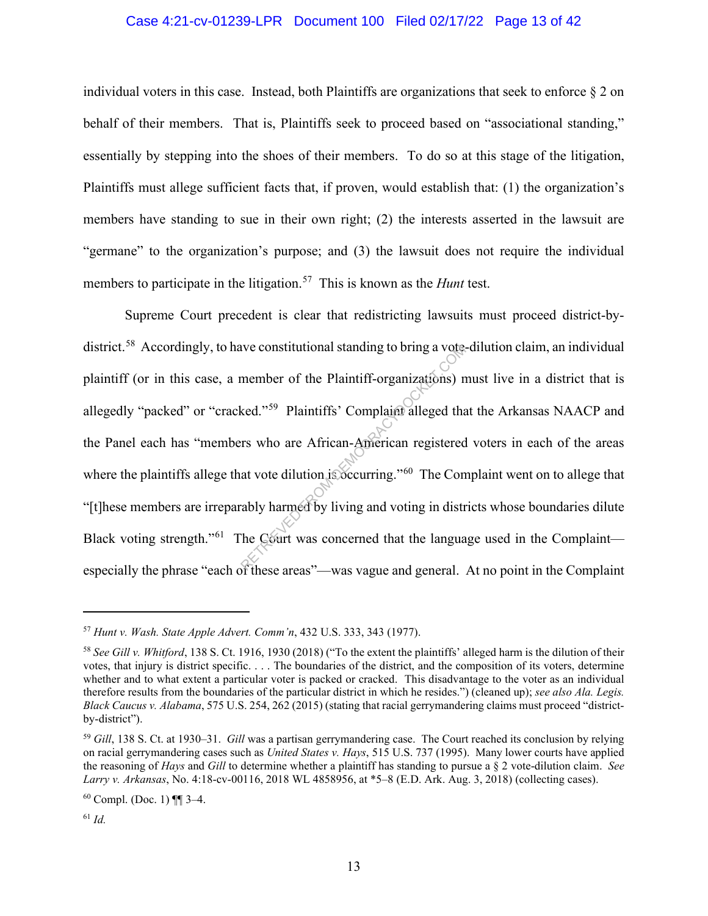### Case 4:21-cv-01239-LPR Document 100 Filed 02/17/22 Page 13 of 42

individual voters in this case. Instead, both Plaintiffs are organizations that seek to enforce  $\S 2$  on behalf of their members. That is, Plaintiffs seek to proceed based on "associational standing," essentially by stepping into the shoes of their members. To do so at this stage of the litigation, Plaintiffs must allege sufficient facts that, if proven, would establish that: (1) the organization's members have standing to sue in their own right; (2) the interests asserted in the lawsuit are "germane" to the organization's purpose; and (3) the lawsuit does not require the individual members to participate in the litigation.<sup>57</sup> This is known as the *Hunt* test.

Supreme Court precedent is clear that redistricting lawsuits must proceed district-bydistrict.<sup>58</sup> Accordingly, to have constitutional standing to bring a vote-dilution claim, an individual plaintiff (or in this case, a member of the Plaintiff-organizations) must live in a district that is allegedly "packed" or "cracked."<sup>59</sup> Plaintiffs' Complaint alleged that the Arkansas NAACP and the Panel each has "members who are African-American registered voters in each of the areas where the plaintiffs allege that vote dilution is occurring."<sup>60</sup> The Complaint went on to allege that "[t]hese members are irreparably harmed by living and voting in districts whose boundaries dilute Black voting strength."<sup>61</sup> The Court was concerned that the language used in the Complaint especially the phrase "each of these areas"—was vague and general. At no point in the Complaint a vote.<br>
member of the Plaintiff-organizations) n<br>
ked."<sup>59</sup> Plaintiffs' Complaint alleged that<br>
rs who are African-American registered<br>
at vote dilution is occurring."<sup>60</sup> The Con<br>
rably harmed by living and voting in dis

<sup>57</sup> *Hunt v. Wash. State Apple Advert. Comm'n*, 432 U.S. 333, 343 (1977).

<sup>58</sup> *See Gill v. Whitford*, 138 S. Ct. 1916, 1930 (2018) ("To the extent the plaintiffs' alleged harm is the dilution of their votes, that injury is district specific. . . . The boundaries of the district, and the composition of its voters, determine whether and to what extent a particular voter is packed or cracked. This disadvantage to the voter as an individual therefore results from the boundaries of the particular district in which he resides.") (cleaned up); *see also Ala. Legis. Black Caucus v. Alabama*, 575 U.S. 254, 262 (2015) (stating that racial gerrymandering claims must proceed "districtby-district").

<sup>59</sup> *Gill*, 138 S. Ct. at 1930–31. *Gill* was a partisan gerrymandering case. The Court reached its conclusion by relying on racial gerrymandering cases such as *United States v. Hays*, 515 U.S. 737 (1995). Many lower courts have applied the reasoning of *Hays* and *Gill* to determine whether a plaintiff has standing to pursue a § 2 vote-dilution claim. *See Larry v. Arkansas*, No. 4:18-cv-00116, 2018 WL 4858956, at \*5–8 (E.D. Ark. Aug. 3, 2018) (collecting cases).

 $60$  Compl. (Doc. 1) [[ 3–4.

<sup>61</sup> *Id.*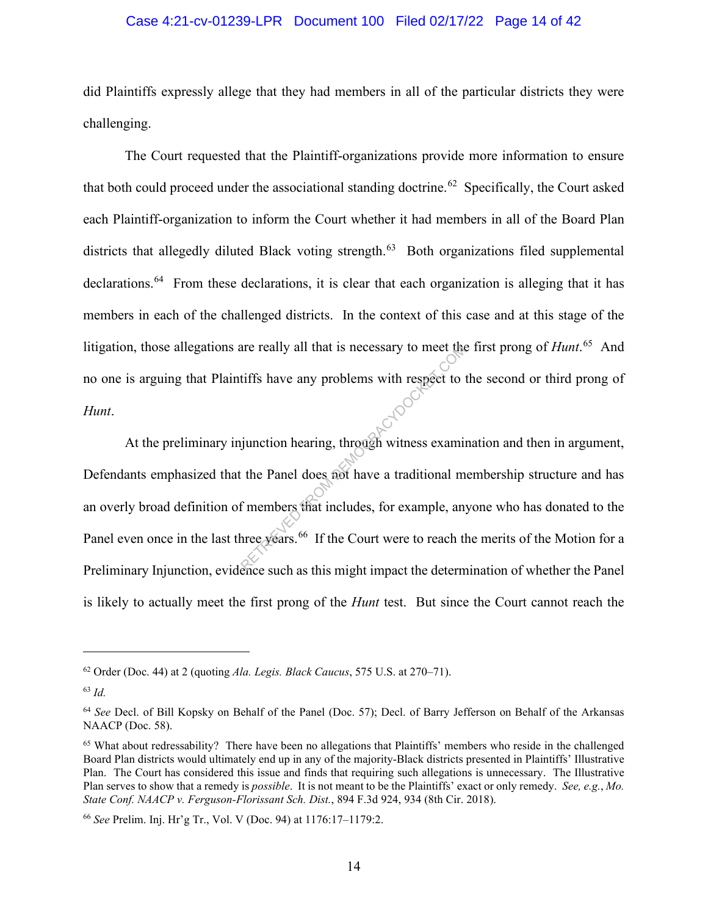#### Case 4:21-cv-01239-LPR Document 100 Filed 02/17/22 Page 14 of 42

did Plaintiffs expressly allege that they had members in all of the particular districts they were challenging.

 The Court requested that the Plaintiff-organizations provide more information to ensure that both could proceed under the associational standing doctrine.<sup>62</sup> Specifically, the Court asked each Plaintiff-organization to inform the Court whether it had members in all of the Board Plan districts that allegedly diluted Black voting strength.<sup>63</sup> Both organizations filed supplemental declarations.<sup>64</sup> From these declarations, it is clear that each organization is alleging that it has members in each of the challenged districts. In the context of this case and at this stage of the litigation, those allegations are really all that is necessary to meet the first prong of *Hunt*. <sup>65</sup> And no one is arguing that Plaintiffs have any problems with respect to the second or third prong of *Hunt*.

At the preliminary injunction hearing, through witness examination and then in argument, Defendants emphasized that the Panel does not have a traditional membership structure and has an overly broad definition of members that includes, for example, anyone who has donated to the Panel even once in the last three years.<sup>66</sup> If the Court were to reach the merits of the Motion for a Preliminary Injunction, evidence such as this might impact the determination of whether the Panel is likely to actually meet the first prong of the *Hunt* test. But since the Court cannot reach the are really all that is necessary to meet the<br>tiffs have any problems with respect to the<br>ignore of the panel does not have a traditional m<br>f members that includes, for example, any<br>are years.<sup>66</sup> If the Court were to reach

<sup>62</sup> Order (Doc. 44) at 2 (quoting *Ala. Legis. Black Caucus*, 575 U.S. at 270–71).

<sup>63</sup> *Id.*

<sup>64</sup> *See* Decl. of Bill Kopsky on Behalf of the Panel (Doc. 57); Decl. of Barry Jefferson on Behalf of the Arkansas NAACP (Doc. 58).

<sup>65</sup> What about redressability? There have been no allegations that Plaintiffs' members who reside in the challenged Board Plan districts would ultimately end up in any of the majority-Black districts presented in Plaintiffs' Illustrative Plan. The Court has considered this issue and finds that requiring such allegations is unnecessary. The Illustrative Plan serves to show that a remedy is *possible*. It is not meant to be the Plaintiffs' exact or only remedy. *See, e.g.*, *Mo. State Conf. NAACP v. Ferguson-Florissant Sch. Dist.*, 894 F.3d 924, 934 (8th Cir. 2018).

<sup>66</sup> *See* Prelim. Inj. Hr'g Tr., Vol. V (Doc. 94) at 1176:17–1179:2.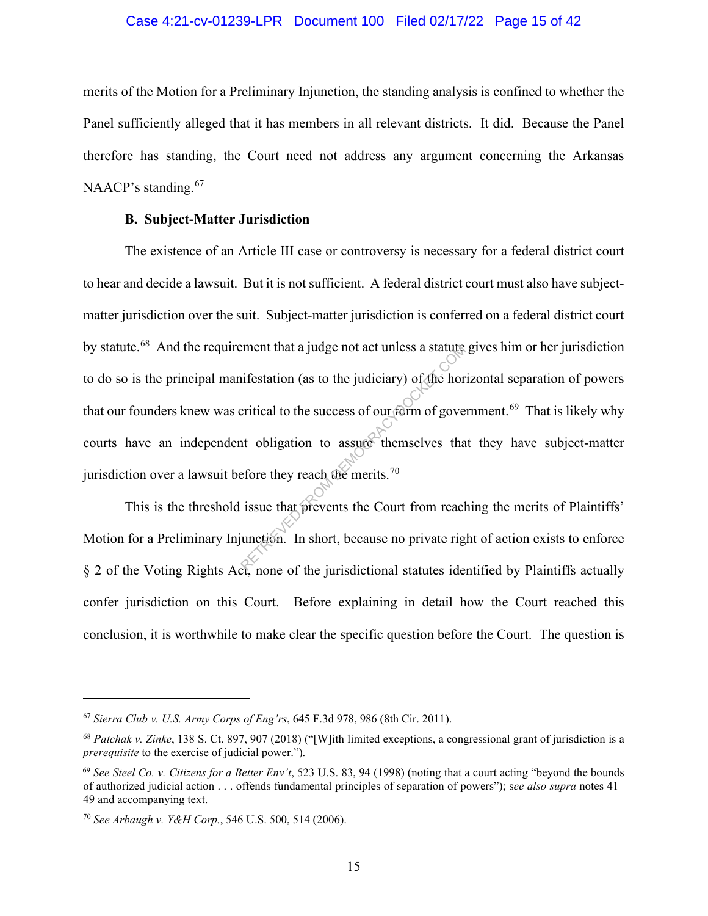#### Case 4:21-cv-01239-LPR Document 100 Filed 02/17/22 Page 15 of 42

merits of the Motion for a Preliminary Injunction, the standing analysis is confined to whether the Panel sufficiently alleged that it has members in all relevant districts. It did. Because the Panel therefore has standing, the Court need not address any argument concerning the Arkansas NAACP's standing.<sup>67</sup>

#### **B. Subject-Matter Jurisdiction**

The existence of an Article III case or controversy is necessary for a federal district court to hear and decide a lawsuit. But it is not sufficient. A federal district court must also have subjectmatter jurisdiction over the suit. Subject-matter jurisdiction is conferred on a federal district court by statute.<sup>68</sup> And the requirement that a judge not act unless a statute gives him or her jurisdiction to do so is the principal manifestation (as to the judiciary) of the horizontal separation of powers that our founders knew was critical to the success of our form of government.<sup>69</sup> That is likely why courts have an independent obligation to assure themselves that they have subject-matter jurisdiction over a lawsuit before they reach the merits.<sup>70</sup> ement that a judge not act unless a statute<br>infestation (as to the judiciary) of the hor-<br>critical to the success of our form of gove-<br>to-bligation to-assume themselves tha-<br>efore they reach the merits.<sup>70</sup><br>issue that prev

This is the threshold issue that prevents the Court from reaching the merits of Plaintiffs' Motion for a Preliminary Injunction. In short, because no private right of action exists to enforce § 2 of the Voting Rights Act, none of the jurisdictional statutes identified by Plaintiffs actually confer jurisdiction on this Court. Before explaining in detail how the Court reached this conclusion, it is worthwhile to make clear the specific question before the Court. The question is

<sup>67</sup> *Sierra Club v. U.S. Army Corps of Eng'rs*, 645 F.3d 978, 986 (8th Cir. 2011).

<sup>68</sup> *Patchak v. Zinke*, 138 S. Ct. 897, 907 (2018) ("[W]ith limited exceptions, a congressional grant of jurisdiction is a *prerequisite* to the exercise of judicial power.").

<sup>69</sup> *See Steel Co. v. Citizens for a Better Env't*, 523 U.S. 83, 94 (1998) (noting that a court acting "beyond the bounds of authorized judicial action . . . offends fundamental principles of separation of powers"); s*ee also supra* notes 41– 49 and accompanying text.

<sup>70</sup> *See Arbaugh v. Y&H Corp.*, 546 U.S. 500, 514 (2006).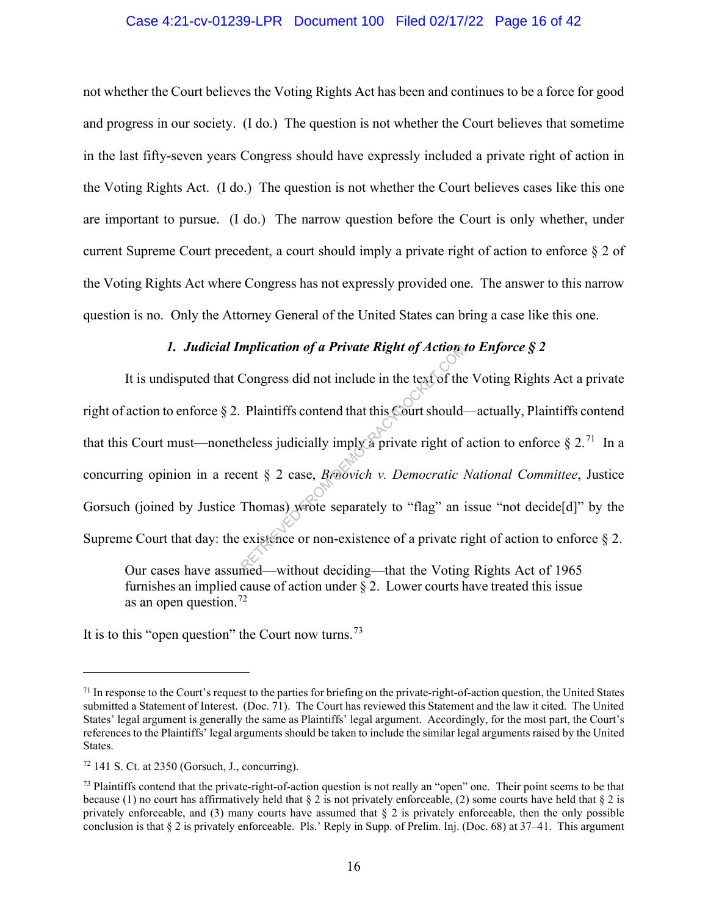#### Case 4:21-cv-01239-LPR Document 100 Filed 02/17/22 Page 16 of 42

not whether the Court believes the Voting Rights Act has been and continues to be a force for good and progress in our society. (I do.) The question is not whether the Court believes that sometime in the last fifty-seven years Congress should have expressly included a private right of action in the Voting Rights Act. (I do.) The question is not whether the Court believes cases like this one are important to pursue. (I do.) The narrow question before the Court is only whether, under current Supreme Court precedent, a court should imply a private right of action to enforce  $\S 2$  of the Voting Rights Act where Congress has not expressly provided one. The answer to this narrow question is no. Only the Attorney General of the United States can bring a case like this one.

# *1. Judicial Implication of a Private Right of Action to Enforce § 2*

It is undisputed that Congress did not include in the text of the Voting Rights Act a private right of action to enforce § 2. Plaintiffs contend that this Court should—actually, Plaintiffs contend that this Court must—nonetheless judicially imply a private right of action to enforce  $\S 2<sup>71</sup>$  In a concurring opinion in a recent § 2 case, *Brnovich v. Democratic National Committee*, Justice Gorsuch (joined by Justice Thomas) wrote separately to "flag" an issue "not decide[d]" by the Supreme Court that day: the existence or non-existence of a private right of action to enforce § 2. mplication of a Private Right of Action.<br>Congress did not include in the text of the<br>Plaintiffs contend that this Court should-<br>heless judicially imply a private right of<br>ent § 2 case, *Britovich v. Democratic l*<br>Thomas) w

Our cases have assumed—without deciding—that the Voting Rights Act of 1965 furnishes an implied cause of action under  $\sqrt{2}$ . Lower courts have treated this issue as an open question.<sup>72</sup>

It is to this "open question" the Court now turns.<sup>73</sup>

 $71$  In response to the Court's request to the parties for briefing on the private-right-of-action question, the United States submitted a Statement of Interest. (Doc. 71). The Court has reviewed this Statement and the law it cited. The United States' legal argument is generally the same as Plaintiffs' legal argument. Accordingly, for the most part, the Court's references to the Plaintiffs' legal arguments should be taken to include the similar legal arguments raised by the United States.

 $72$  141 S. Ct. at 2350 (Gorsuch, J., concurring).

 $<sup>73</sup>$  Plaintiffs contend that the private-right-of-action question is not really an "open" one. Their point seems to be that</sup> because (1) no court has affirmatively held that  $\S 2$  is not privately enforceable, (2) some courts have held that  $\S 2$  is privately enforceable, and (3) many courts have assumed that  $\S$  2 is privately enforceable, then the only possible conclusion is that § 2 is privately enforceable. Pls.' Reply in Supp. of Prelim. Inj. (Doc. 68) at 37–41. This argument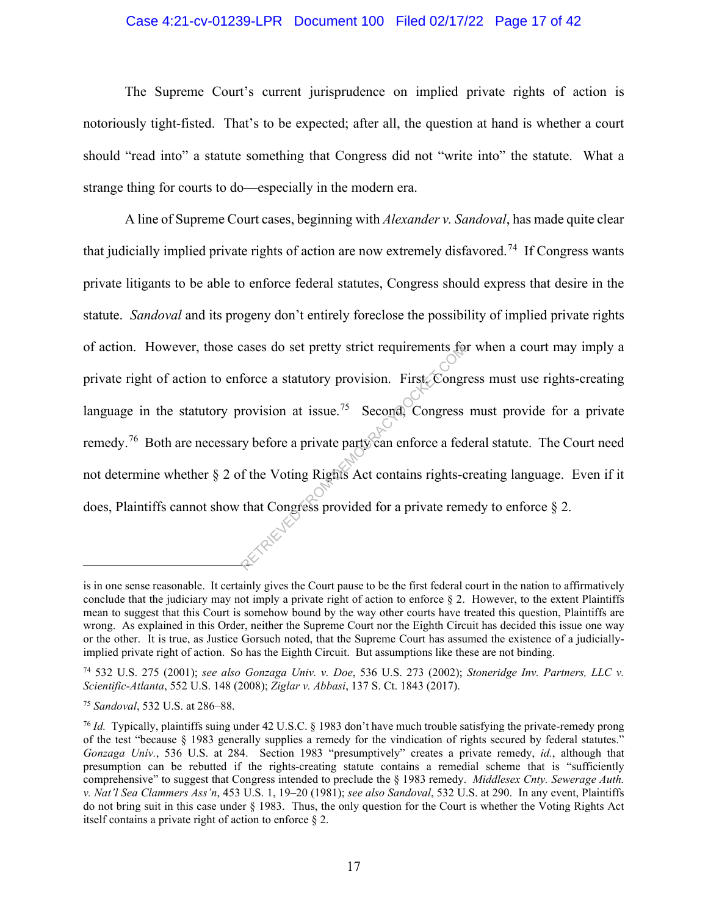### Case 4:21-cv-01239-LPR Document 100 Filed 02/17/22 Page 17 of 42

The Supreme Court's current jurisprudence on implied private rights of action is notoriously tight-fisted. That's to be expected; after all, the question at hand is whether a court should "read into" a statute something that Congress did not "write into" the statute. What a strange thing for courts to do—especially in the modern era.

A line of Supreme Court cases, beginning with *Alexander v. Sandoval*, has made quite clear that judicially implied private rights of action are now extremely disfavored.<sup>74</sup> If Congress wants private litigants to be able to enforce federal statutes, Congress should express that desire in the statute. *Sandoval* and its progeny don't entirely foreclose the possibility of implied private rights of action. However, those cases do set pretty strict requirements for when a court may imply a private right of action to enforce a statutory provision. First, Congress must use rights-creating language in the statutory provision at issue.<sup>75</sup> Second, Congress must provide for a private remedy.<sup>76</sup> Both are necessary before a private party can enforce a federal statute. The Court need not determine whether § 2 of the Voting Rights Act contains rights-creating language. Even if it does, Plaintiffs cannot show that Congress provided for a private remedy to enforce § 2. cases do set pretty strict requirements to<br>force a statutory provision. First, Congr<br>rovision at issue.<sup>75</sup> Second, Congress<br>ry before a private party can enforce a fed<br>f the Voting Rights Act contains rights-c<br>that Congre

is in one sense reasonable. It certainly gives the Court pause to be the first federal court in the nation to affirmatively conclude that the judiciary may not imply a private right of action to enforce  $\S$  2. However, to the extent Plaintiffs mean to suggest that this Court is somehow bound by the way other courts have treated this question, Plaintiffs are wrong. As explained in this Order, neither the Supreme Court nor the Eighth Circuit has decided this issue one way or the other. It is true, as Justice Gorsuch noted, that the Supreme Court has assumed the existence of a judiciallyimplied private right of action. So has the Eighth Circuit. But assumptions like these are not binding.

<sup>74</sup> 532 U.S. 275 (2001); *see also Gonzaga Univ. v. Doe*, 536 U.S. 273 (2002); *Stoneridge Inv. Partners, LLC v. Scientific-Atlanta*, 552 U.S. 148 (2008); *Ziglar v. Abbasi*, 137 S. Ct. 1843 (2017).

<sup>75</sup> *Sandoval*, 532 U.S. at 286–88.

<sup>76</sup> *Id.* Typically, plaintiffs suing under 42 U.S.C. § 1983 don't have much trouble satisfying the private-remedy prong of the test "because § 1983 generally supplies a remedy for the vindication of rights secured by federal statutes." *Gonzaga Univ.*, 536 U.S. at 284. Section 1983 "presumptively" creates a private remedy, *id.*, although that presumption can be rebutted if the rights-creating statute contains a remedial scheme that is "sufficiently comprehensive" to suggest that Congress intended to preclude the § 1983 remedy. *Middlesex Cnty. Sewerage Auth. v. Nat'l Sea Clammers Ass'n*, 453 U.S. 1, 19–20 (1981); *see also Sandoval*, 532 U.S. at 290. In any event, Plaintiffs do not bring suit in this case under § 1983. Thus, the only question for the Court is whether the Voting Rights Act itself contains a private right of action to enforce § 2.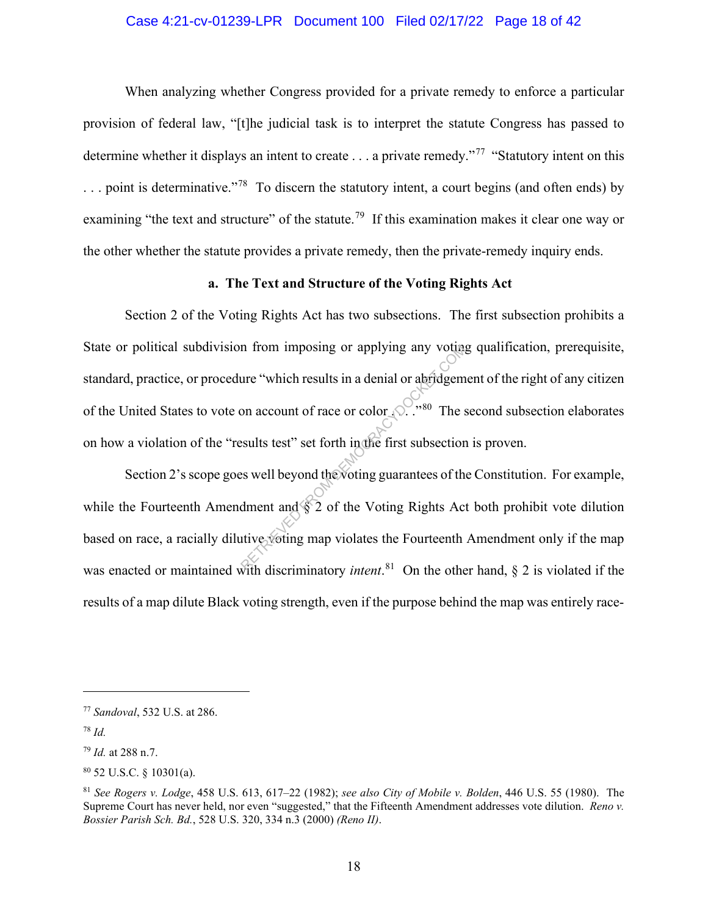### Case 4:21-cv-01239-LPR Document 100 Filed 02/17/22 Page 18 of 42

When analyzing whether Congress provided for a private remedy to enforce a particular provision of federal law, "[t]he judicial task is to interpret the statute Congress has passed to determine whether it displays an intent to create . . . a private remedy."<sup>77</sup> "Statutory intent on this  $\ldots$  point is determinative."<sup>78</sup> To discern the statutory intent, a court begins (and often ends) by examining "the text and structure" of the statute.<sup>79</sup> If this examination makes it clear one way or the other whether the statute provides a private remedy, then the private-remedy inquiry ends.

#### **a. The Text and Structure of the Voting Rights Act**

Section 2 of the Voting Rights Act has two subsections. The first subsection prohibits a State or political subdivision from imposing or applying any voting qualification, prerequisite, standard, practice, or procedure "which results in a denial or abridgement of the right of any citizen of the United States to vote on account of race or color  $\mathbb{R}^{5}$ . <sup>80</sup> The second subsection elaborates on how a violation of the "results test" set forth in the first subsection is proven. In from imposing or applying any voting<br>
ure "which results in a denial or abridgem<br>
on account of race or color (2...<sup>780</sup> The s<br>
ssults test" set forth in the first subsection<br>
essults test" set forth in the first subsec

Section 2's scope goes well beyond the voting guarantees of the Constitution. For example, while the Fourteenth Amendment and  $\sqrt{$}$  of the Voting Rights Act both prohibit vote dilution based on race, a racially dilutive voting map violates the Fourteenth Amendment only if the map was enacted or maintained with discriminatory *intent*. 81 On the other hand, § 2 is violated if the results of a map dilute Black voting strength, even if the purpose behind the map was entirely race-

<sup>77</sup> *Sandoval*, 532 U.S. at 286.

<sup>78</sup> *Id.*

<sup>79</sup> *Id.* at 288 n.7.

<sup>80</sup> 52 U.S.C. § 10301(a).

<sup>81</sup> *See Rogers v. Lodge*, 458 U.S. 613, 617–22 (1982); *see also City of Mobile v. Bolden*, 446 U.S. 55 (1980).The Supreme Court has never held, nor even "suggested," that the Fifteenth Amendment addresses vote dilution. *Reno v. Bossier Parish Sch. Bd.*, 528 U.S. 320, 334 n.3 (2000) *(Reno II)*.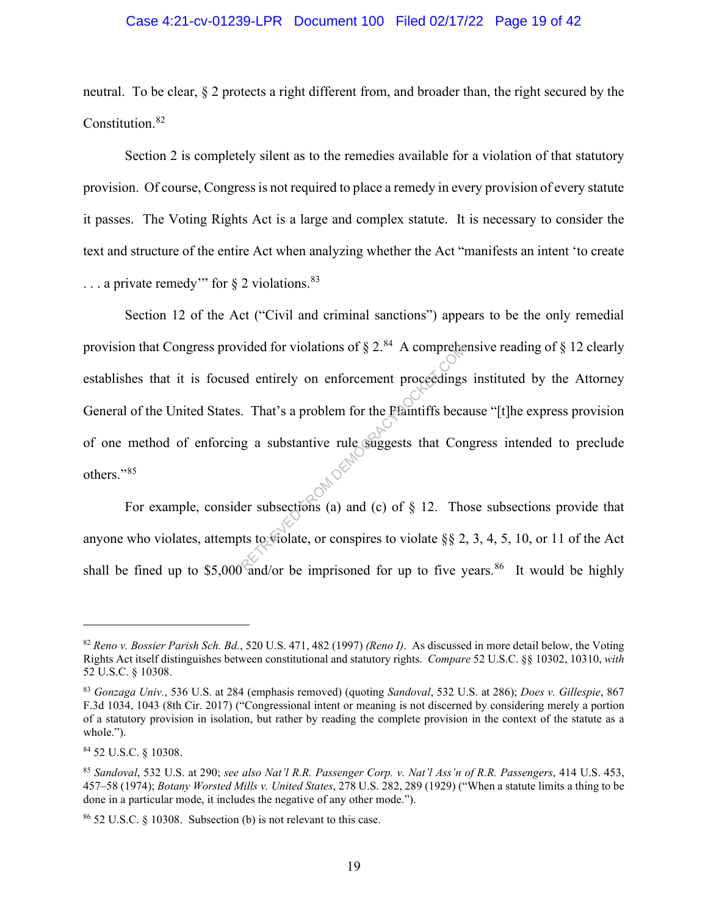#### Case 4:21-cv-01239-LPR Document 100 Filed 02/17/22 Page 19 of 42

neutral. To be clear, § 2 protects a right different from, and broader than, the right secured by the Constitution.<sup>82</sup>

Section 2 is completely silent as to the remedies available for a violation of that statutory provision. Of course, Congress is not required to place a remedy in every provision of every statute it passes. The Voting Rights Act is a large and complex statute. It is necessary to consider the text and structure of the entire Act when analyzing whether the Act "manifests an intent 'to create  $\ldots$  a private remedy" for  $\S$  2 violations.  $83$ 

Section 12 of the Act ("Civil and criminal sanctions") appears to be the only remedial provision that Congress provided for violations of  $\S 2$ .<sup>84</sup> A comprehensive reading of  $\S 12$  clearly establishes that it is focused entirely on enforcement proceedings instituted by the Attorney General of the United States. That's a problem for the Plaintiffs because "[t]he express provision of one method of enforcing a substantive rule suggests that Congress intended to preclude others."<sup>85</sup> Vided for violations of  $\S 2$ . A comprehend<br>
ed entirely on enforcement proceedings<br>
. That's a problem for the Plantiffs because of<br>
g a substantive rule suggests that Contract Compares to the Supervisor of Supervisors (

For example, consider subsections (a) and (c) of  $\S$  12. Those subsections provide that anyone who violates, attempts to violate, or conspires to violate §§ 2, 3, 4, 5, 10, or 11 of the Act shall be fined up to \$5,000 and/or be imprisoned for up to five years.<sup>86</sup> It would be highly

<sup>82</sup> *Reno v. Bossier Parish Sch. Bd.*, 520 U.S. 471, 482 (1997) *(Reno I)*. As discussed in more detail below, the Voting Rights Act itself distinguishes between constitutional and statutory rights. *Compare* 52 U.S.C. §§ 10302, 10310, *with* 52 U.S.C. § 10308.

<sup>83</sup> *Gonzaga Univ.*, 536 U.S. at 284 (emphasis removed) (quoting *Sandoval*, 532 U.S. at 286); *Does v. Gillespie*, 867 F.3d 1034, 1043 (8th Cir. 2017) ("Congressional intent or meaning is not discerned by considering merely a portion of a statutory provision in isolation, but rather by reading the complete provision in the context of the statute as a whole.").

<sup>84</sup> 52 U.S.C. § 10308.

<sup>85</sup> *Sandoval*, 532 U.S. at 290; *see also Nat'l R.R. Passenger Corp. v. Nat'l Ass'n of R.R. Passengers*, 414 U.S. 453, 457–58 (1974); *Botany Worsted Mills v. United States*, 278 U.S. 282, 289 (1929) ("When a statute limits a thing to be done in a particular mode, it includes the negative of any other mode.").

<sup>86</sup> 52 U.S.C. § 10308. Subsection (b) is not relevant to this case.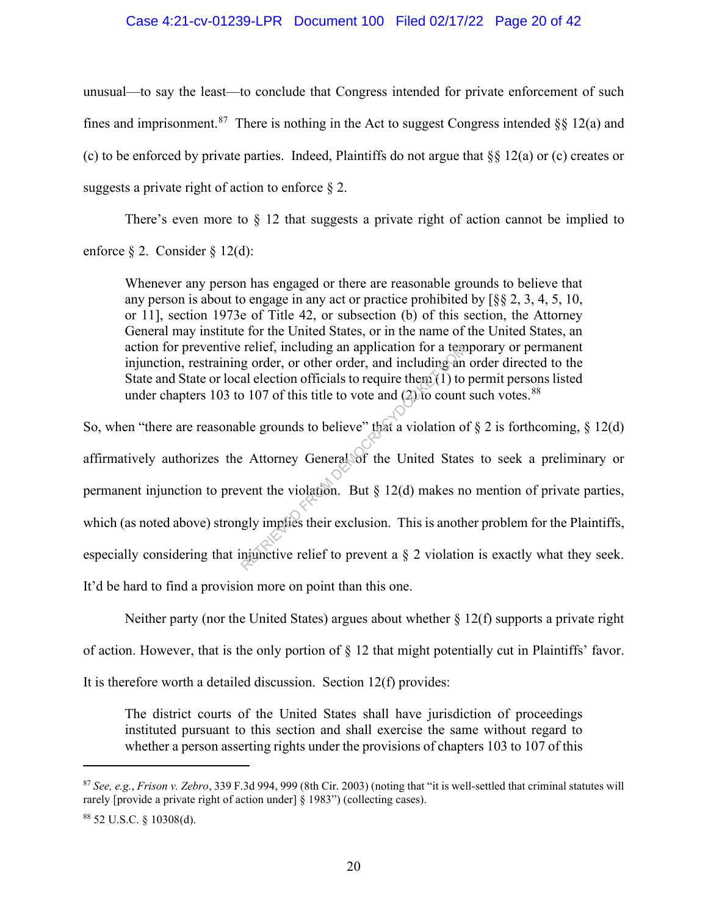#### Case 4:21-cv-01239-LPR Document 100 Filed 02/17/22 Page 20 of 42

unusual—to say the least—to conclude that Congress intended for private enforcement of such fines and imprisonment.<sup>87</sup> There is nothing in the Act to suggest Congress intended §§ 12(a) and (c) to be enforced by private parties. Indeed, Plaintiffs do not argue that §§ 12(a) or (c) creates or suggests a private right of action to enforce  $\S 2$ .

There's even more to  $\S$  12 that suggests a private right of action cannot be implied to

enforce § 2. Consider § 12(d):

Whenever any person has engaged or there are reasonable grounds to believe that any person is about to engage in any act or practice prohibited by [§§ 2, 3, 4, 5, 10, or 11], section 1973e of Title 42, or subsection (b) of this section, the Attorney General may institute for the United States, or in the name of the United States, an action for preventive relief, including an application for a temporary or permanent injunction, restraining order, or other order, and including an order directed to the State and State or local election officials to require them  $(1)$  to permit persons listed under chapters 103 to 107 of this title to vote and  $(2)$  to count such votes.<sup>88</sup>

So, when "there are reasonable grounds to believe" that a violation of  $\S 2$  is forthcoming,  $\S 12(d)$ affirmatively authorizes the Attorney General of the United States to seek a preliminary or permanent injunction to prevent the violation. But  $\S$  12(d) makes no mention of private parties, which (as noted above) strongly implies their exclusion. This is another problem for the Plaintiffs, especially considering that injunctive relief to prevent a § 2 violation is exactly what they seek. It'd be hard to find a provision more on point than this one. relief, including an application for a tem<br>g order, or other order, and including an<br>al election officials to require them (1) to<br> $> 107$  of this title to vote and (2) to count<br>ble grounds to believe" that a violation of<br>

Neither party (nor the United States) argues about whether § 12(f) supports a private right

of action. However, that is the only portion of § 12 that might potentially cut in Plaintiffs' favor.

It is therefore worth a detailed discussion. Section 12(f) provides:

The district courts of the United States shall have jurisdiction of proceedings instituted pursuant to this section and shall exercise the same without regard to whether a person asserting rights under the provisions of chapters 103 to 107 of this

<sup>87</sup> *See, e.g.*, *Frison v. Zebro*, 339 F.3d 994, 999 (8th Cir. 2003) (noting that "it is well-settled that criminal statutes will rarely [provide a private right of action under] § 1983") (collecting cases).

<sup>88</sup> 52 U.S.C. § 10308(d).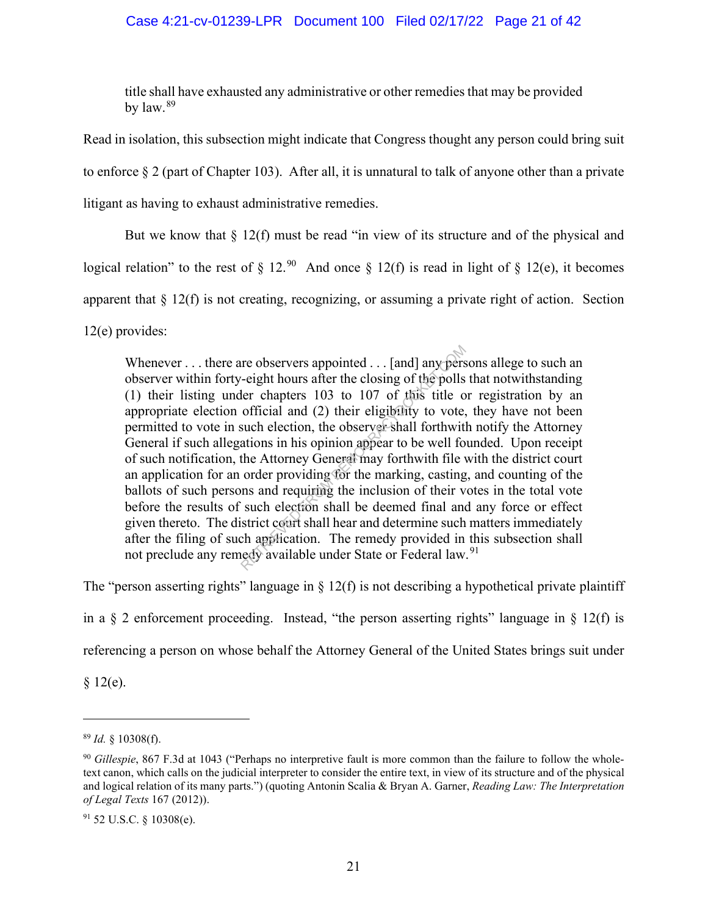# Case 4:21-cv-01239-LPR Document 100 Filed 02/17/22 Page 21 of 42

title shall have exhausted any administrative or other remedies that may be provided by  $\text{law.}^{89}$ 

Read in isolation, this subsection might indicate that Congress thought any person could bring suit to enforce § 2 (part of Chapter 103). After all, it is unnatural to talk of anyone other than a private litigant as having to exhaust administrative remedies.

But we know that  $\S 12(f)$  must be read "in view of its structure and of the physical and

logical relation" to the rest of § 12.<sup>90</sup> And once § 12(f) is read in light of § 12(e), it becomes

apparent that § 12(f) is not creating, recognizing, or assuming a private right of action. Section

12(e) provides:

Whenever . . . there are observers appointed . . . [and] any persons allege to such an observer within forty-eight hours after the closing of the polls that notwithstanding (1) their listing under chapters 103 to 107 of this title or registration by an appropriate election official and (2) their eligibility to vote, they have not been permitted to vote in such election, the observer shall forthwith notify the Attorney General if such allegations in his opinion appear to be well founded. Upon receipt of such notification, the Attorney General may forthwith file with the district court an application for an order providing for the marking, casting, and counting of the ballots of such persons and requiring the inclusion of their votes in the total vote before the results of such election shall be deemed final and any force or effect given thereto. The district court shall hear and determine such matters immediately after the filing of such application. The remedy provided in this subsection shall not preclude any remedy available under State or Federal law.<sup>91</sup> re observers appointed ... [and] any pers-<br>
eight hours after the closing of the polls<br>
ler chapters 103 to 107 of this title of<br>
official and (2) their eligibility to vote,<br>
such election, the observer shall forthwith<br>
at

The "person asserting rights" language in  $\S$  12(f) is not describing a hypothetical private plaintiff

in a  $\S$  2 enforcement proceeding. Instead, "the person asserting rights" language in  $\S$  12(f) is

referencing a person on whose behalf the Attorney General of the United States brings suit under

 $§ 12(e).$ 

<sup>89</sup> *Id.* § 10308(f).

<sup>90</sup> *Gillespie*, 867 F.3d at 1043 ("Perhaps no interpretive fault is more common than the failure to follow the wholetext canon, which calls on the judicial interpreter to consider the entire text, in view of its structure and of the physical and logical relation of its many parts.") (quoting Antonin Scalia & Bryan A. Garner, *Reading Law: The Interpretation of Legal Texts* 167 (2012)).

<sup>91</sup> 52 U.S.C. § 10308(e).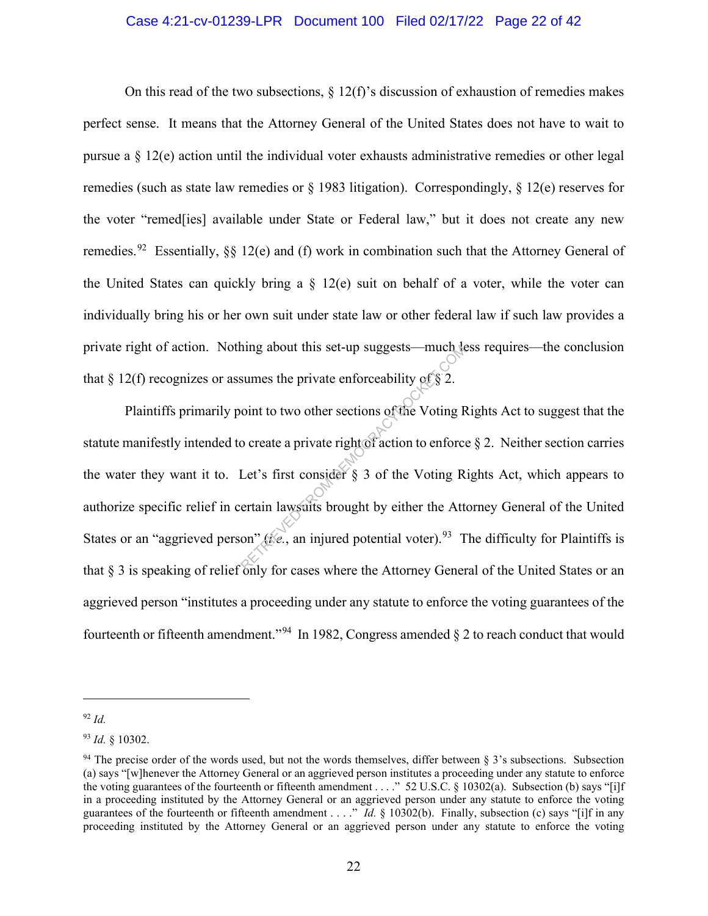#### Case 4:21-cv-01239-LPR Document 100 Filed 02/17/22 Page 22 of 42

On this read of the two subsections,  $\S 12(f)$ 's discussion of exhaustion of remedies makes perfect sense. It means that the Attorney General of the United States does not have to wait to pursue a  $\S$  12(e) action until the individual voter exhausts administrative remedies or other legal remedies (such as state law remedies or § 1983 litigation). Correspondingly, § 12(e) reserves for the voter "remed[ies] available under State or Federal law," but it does not create any new remedies.<sup>92</sup> Essentially, §§ 12(e) and (f) work in combination such that the Attorney General of the United States can quickly bring a  $\S$  12(e) suit on behalf of a voter, while the voter can individually bring his or her own suit under state law or other federal law if such law provides a private right of action. Nothing about this set-up suggests—much less requires—the conclusion that § 12(f) recognizes or assumes the private enforceability of § 2.

Plaintiffs primarily point to two other sections of the Voting Rights Act to suggest that the statute manifestly intended to create a private right of action to enforce § 2. Neither section carries the water they want it to. Let's first consider § 3 of the Voting Rights Act, which appears to authorize specific relief in certain lawsuits brought by either the Attorney General of the United States or an "aggrieved person" (*i.e.*, an injured potential voter).<sup>93</sup> The difficulty for Plaintiffs is that § 3 is speaking of relief only for cases where the Attorney General of the United States or an aggrieved person "institutes a proceeding under any statute to enforce the voting guarantees of the fourteenth or fifteenth amendment."<sup>94</sup> In 1982, Congress amended  $\S$  2 to reach conduct that would hing about this set-up suggests—much to<br>sumes the private enforceability of § 2.<br>oint to two other sections of the Voting F<br>o create a private right of action to enforce<br>Let's first consider § 3 of the Voting R<br>ertain law

<sup>92</sup> *Id.*

<sup>93</sup> *Id.* § 10302.

 $94$  The precise order of the words used, but not the words themselves, differ between  $\S$  3's subsections. Subsection (a) says "[w]henever the Attorney General or an aggrieved person institutes a proceeding under any statute to enforce the voting guarantees of the fourteenth or fifteenth amendment . . . ." 52 U.S.C. § 10302(a). Subsection (b) says "[i]f in a proceeding instituted by the Attorney General or an aggrieved person under any statute to enforce the voting guarantees of the fourteenth or fifteenth amendment . . . ." *Id.* § 10302(b). Finally, subsection (c) says "[i]f in any proceeding instituted by the Attorney General or an aggrieved person under any statute to enforce the voting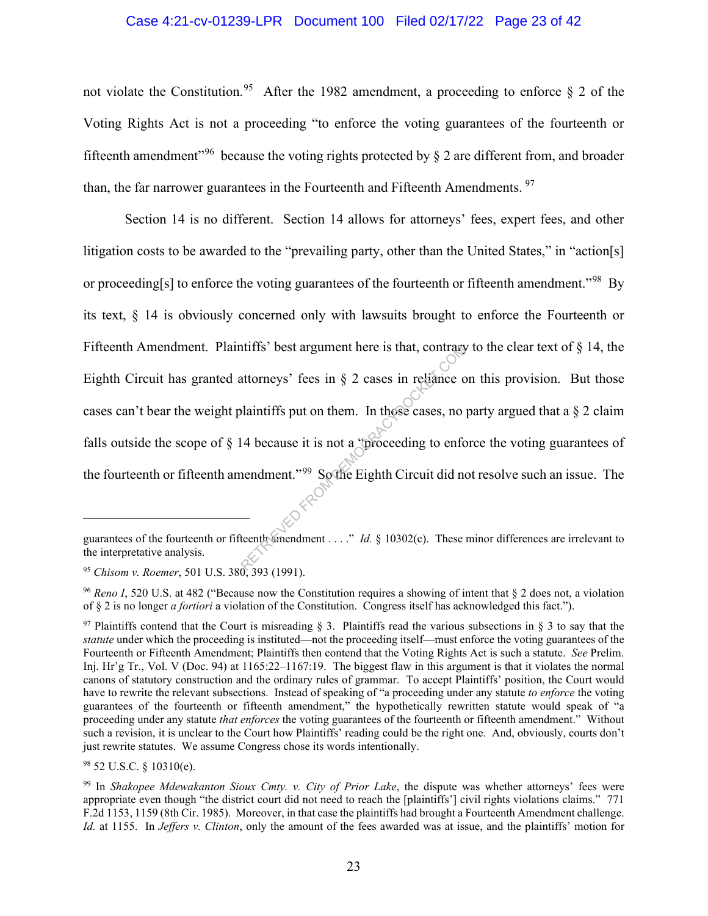#### Case 4:21-cv-01239-LPR Document 100 Filed 02/17/22 Page 23 of 42

not violate the Constitution.<sup>95</sup> After the 1982 amendment, a proceeding to enforce  $\S$  2 of the Voting Rights Act is not a proceeding "to enforce the voting guarantees of the fourteenth or fifteenth amendment<sup>"96</sup> because the voting rights protected by  $\delta$  2 are different from, and broader than, the far narrower guarantees in the Fourteenth and Fifteenth Amendments.<sup>97</sup>

Section 14 is no different. Section 14 allows for attorneys' fees, expert fees, and other litigation costs to be awarded to the "prevailing party, other than the United States," in "action[s] or proceeding[s] to enforce the voting guarantees of the fourteenth or fifteenth amendment."<sup>98</sup> By its text, § 14 is obviously concerned only with lawsuits brought to enforce the Fourteenth or Fifteenth Amendment. Plaintiffs' best argument here is that, contrary to the clear text of  $\S$  14, the Eighth Circuit has granted attorneys' fees in  $\S$  2 cases in reliance on this provision. But those cases can't bear the weight plaintiffs put on them. In those cases, no party argued that a § 2 claim falls outside the scope of § 14 because it is not a "proceeding to enforce the voting guarantees of the fourteenth or fifteenth amendment."99 So the Eighth Circuit did not resolve such an issue. The The state of the state of the state of the state of the state of the state of the state of the state of the state of the state of the state of the state of the state of the state of the state of the state of the state of

guarantees of the fourteenth or fifteenth amendment . . . ." *Id.* § 10302(c). These minor differences are irrelevant to the interpretative analysis.

<sup>95</sup> *Chisom v. Roemer*, 501 U.S. 380, 393 (1991).

<sup>96</sup> *Reno I*, 520 U.S. at 482 ("Because now the Constitution requires a showing of intent that § 2 does not, a violation of § 2 is no longer *a fortiori* a violation of the Constitution. Congress itself has acknowledged this fact.").

<sup>&</sup>lt;sup>97</sup> Plaintiffs contend that the Court is misreading § 3. Plaintiffs read the various subsections in § 3 to say that the *statute* under which the proceeding is instituted—not the proceeding itself—must enforce the voting guarantees of the Fourteenth or Fifteenth Amendment; Plaintiffs then contend that the Voting Rights Act is such a statute. *See* Prelim. Inj. Hr'g Tr., Vol. V (Doc. 94) at 1165:22–1167:19. The biggest flaw in this argument is that it violates the normal canons of statutory construction and the ordinary rules of grammar. To accept Plaintiffs' position, the Court would have to rewrite the relevant subsections. Instead of speaking of "a proceeding under any statute *to enforce* the voting guarantees of the fourteenth or fifteenth amendment," the hypothetically rewritten statute would speak of "a proceeding under any statute *that enforces* the voting guarantees of the fourteenth or fifteenth amendment." Without such a revision, it is unclear to the Court how Plaintiffs' reading could be the right one. And, obviously, courts don't just rewrite statutes. We assume Congress chose its words intentionally.

 $98$  52 U.S.C. § 10310(e).

<sup>99</sup> In *Shakopee Mdewakanton Sioux Cmty. v. City of Prior Lake*, the dispute was whether attorneys' fees were appropriate even though "the district court did not need to reach the [plaintiffs'] civil rights violations claims." 771 F.2d 1153, 1159 (8th Cir. 1985). Moreover, in that case the plaintiffs had brought a Fourteenth Amendment challenge. *Id.* at 1155. In *Jeffers v. Clinton*, only the amount of the fees awarded was at issue, and the plaintiffs' motion for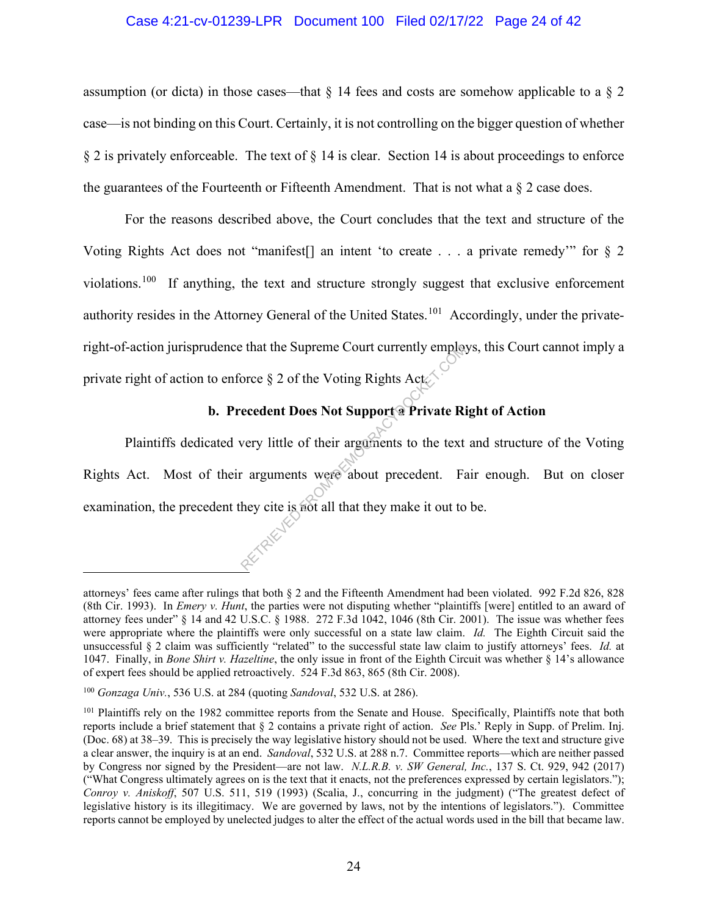#### Case 4:21-cv-01239-LPR Document 100 Filed 02/17/22 Page 24 of 42

assumption (or dicta) in those cases—that  $\S$  14 fees and costs are somehow applicable to a  $\S$  2 case—is not binding on this Court. Certainly, it is not controlling on the bigger question of whether § 2 is privately enforceable. The text of § 14 is clear. Section 14 is about proceedings to enforce the guarantees of the Fourteenth or Fifteenth Amendment. That is not what a  $\S$  2 case does.

For the reasons described above, the Court concludes that the text and structure of the Voting Rights Act does not "manifest[] an intent 'to create . . . a private remedy'" for § 2 violations.<sup>100</sup> If anything, the text and structure strongly suggest that exclusive enforcement authority resides in the Attorney General of the United States.<sup>101</sup> Accordingly, under the privateright-of-action jurisprudence that the Supreme Court currently employs, this Court cannot imply a private right of action to enforce  $\S 2$  of the Voting Rights Act.

# **b. Precedent Does Not Support a Private Right of Action**

Plaintiffs dedicated very little of their arguments to the text and structure of the Voting Rights Act. Most of their arguments were about precedent. Fair enough. But on closer examination, the precedent they cite is not all that they make it out to be. Private Riversity employees and the Voting Rights Actor of Support of Private Rivery little of their arguments to the text arguments were about precedent. Faithful and the set of all that they make it out to

attorneys' fees came after rulings that both § 2 and the Fifteenth Amendment had been violated. 992 F.2d 826, 828 (8th Cir. 1993). In *Emery v. Hunt*, the parties were not disputing whether "plaintiffs [were] entitled to an award of attorney fees under" § 14 and 42 U.S.C. § 1988. 272 F.3d 1042, 1046 (8th Cir. 2001). The issue was whether fees were appropriate where the plaintiffs were only successful on a state law claim. *Id.* The Eighth Circuit said the unsuccessful § 2 claim was sufficiently "related" to the successful state law claim to justify attorneys' fees. *Id.* at 1047. Finally, in *Bone Shirt v. Hazeltine*, the only issue in front of the Eighth Circuit was whether § 14's allowance of expert fees should be applied retroactively. 524 F.3d 863, 865 (8th Cir. 2008).

<sup>100</sup> *Gonzaga Univ.*, 536 U.S. at 284 (quoting *Sandoval*, 532 U.S. at 286).

<sup>&</sup>lt;sup>101</sup> Plaintiffs rely on the 1982 committee reports from the Senate and House. Specifically, Plaintiffs note that both reports include a brief statement that § 2 contains a private right of action. *See* Pls.' Reply in Supp. of Prelim. Inj. (Doc. 68) at 38–39. This is precisely the way legislative history should not be used. Where the text and structure give a clear answer, the inquiry is at an end. *Sandoval*, 532 U.S. at 288 n.7. Committee reports—which are neither passed by Congress nor signed by the President—are not law. *N.L.R.B. v. SW General, Inc.*, 137 S. Ct. 929, 942 (2017) ("What Congress ultimately agrees on is the text that it enacts, not the preferences expressed by certain legislators."); *Conroy v. Aniskoff*, 507 U.S. 511, 519 (1993) (Scalia, J., concurring in the judgment) ("The greatest defect of legislative history is its illegitimacy. We are governed by laws, not by the intentions of legislators."). Committee reports cannot be employed by unelected judges to alter the effect of the actual words used in the bill that became law.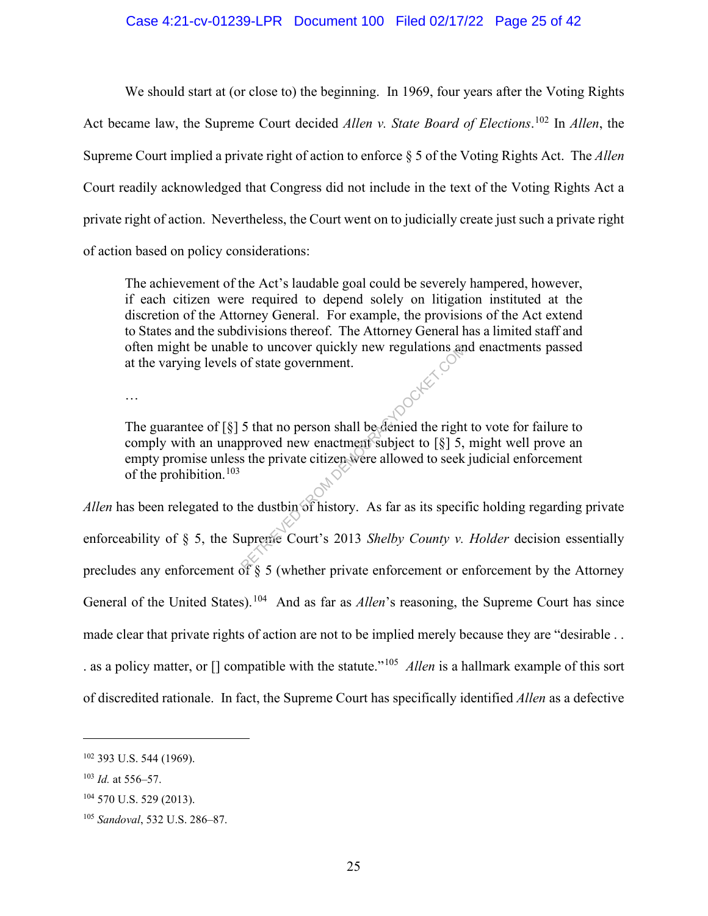#### Case 4:21-cv-01239-LPR Document 100 Filed 02/17/22 Page 25 of 42

We should start at (or close to) the beginning. In 1969, four years after the Voting Rights Act became law, the Supreme Court decided *Allen v. State Board of Elections*. <sup>102</sup> In *Allen*, the Supreme Court implied a private right of action to enforce § 5 of the Voting Rights Act. The *Allen*  Court readily acknowledged that Congress did not include in the text of the Voting Rights Act a private right of action. Nevertheless, the Court went on to judicially create just such a private right of action based on policy considerations:

The achievement of the Act's laudable goal could be severely hampered, however, if each citizen were required to depend solely on litigation instituted at the discretion of the Attorney General. For example, the provisions of the Act extend to States and the subdivisions thereof. The Attorney General has a limited staff and often might be unable to uncover quickly new regulations and enactments passed at the varying levels of state government.

…

The guarantee of [§] 5 that no person shall be denied the right to vote for failure to comply with an unapproved new enactment subject to  $\lceil \xi \rceil$  5, might well prove an empty promise unless the private citizen were allowed to seek judicial enforcement of the prohibition.<sup>103</sup>

*Allen* has been relegated to the dustbin of history. As far as its specific holding regarding private enforceability of § 5, the Supreme Court's 2013 *Shelby County v. Holder* decision essentially precludes any enforcement of § 5 (whether private enforcement or enforcement by the Attorney General of the United States).<sup>104</sup> And as far as *Allen*'s reasoning, the Supreme Court has since made clear that private rights of action are not to be implied merely because they are "desirable . . . as a policy matter, or [] compatible with the statute."105 *Allen* is a hallmark example of this sort of discredited rationale. In fact, the Supreme Court has specifically identified *Allen* as a defective RETRIEVED FROM THE SET OF SET AND NOTE OF STATISTICS STATE OF STATE OF STATE OF STATE OF STATE OF STATE OF STATE OF STATE OF STATE OF STATE OF STATE OF STATE OF STATE OF STATE OF STATE OF STATE OF STATE OF STATE OF STATE O

<sup>102</sup> 393 U.S. 544 (1969).

<sup>103</sup> *Id.* at 556–57.

<sup>&</sup>lt;sup>104</sup> 570 U.S. 529 (2013).

<sup>105</sup> *Sandoval*, 532 U.S. 286–87.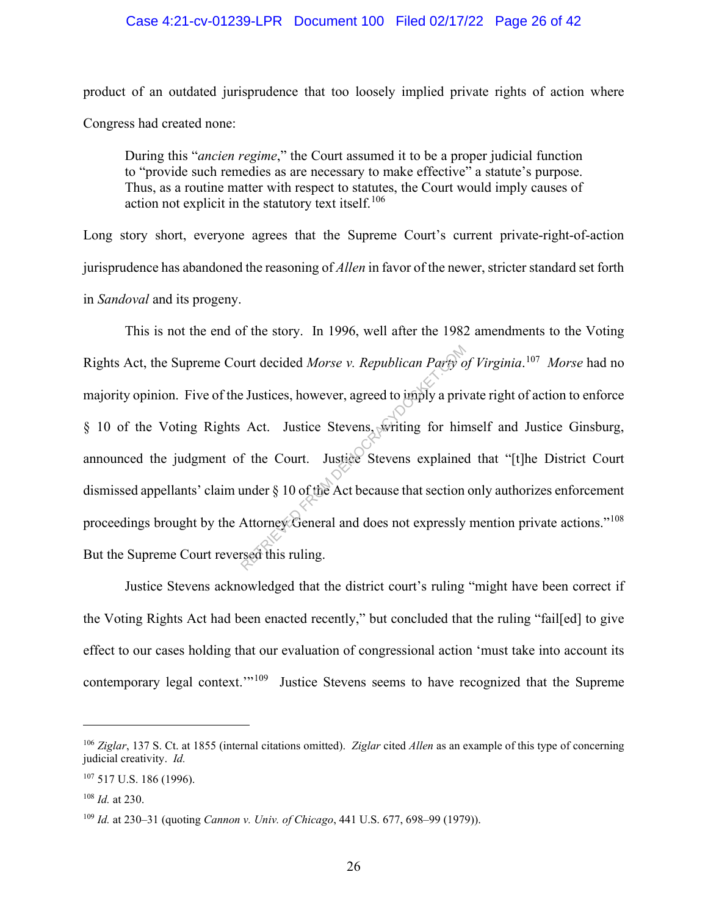#### Case 4:21-cv-01239-LPR Document 100 Filed 02/17/22 Page 26 of 42

product of an outdated jurisprudence that too loosely implied private rights of action where Congress had created none:

During this "*ancien regime*," the Court assumed it to be a proper judicial function to "provide such remedies as are necessary to make effective" a statute's purpose. Thus, as a routine matter with respect to statutes, the Court would imply causes of action not explicit in the statutory text itself.<sup>106</sup>

Long story short, everyone agrees that the Supreme Court's current private-right-of-action jurisprudence has abandoned the reasoning of *Allen* in favor of the newer, stricter standard set forth in *Sandoval* and its progeny.

This is not the end of the story. In 1996, well after the 1982 amendments to the Voting Rights Act, the Supreme Court decided *Morse v. Republican Party of Virginia*. 107 *Morse* had no majority opinion. Five of the Justices, however, agreed to imply a private right of action to enforce § 10 of the Voting Rights Act. Justice Stevens, writing for himself and Justice Ginsburg, announced the judgment of the Court. Justice Stevens explained that "[t]he District Court dismissed appellants' claim under § 10 of the Act because that section only authorizes enforcement proceedings brought by the Attorney General and does not expressly mention private actions."<sup>108</sup> But the Supreme Court reversed this ruling. urt decided *Morse v. Republican Party of*<br>E Justices, however, agreed to imply a priv<br>Act. Justice Stevens, writing for hin<br>f the Court. Justice Stevens explained<br>under § 10 of the Act because that section<br>Attorney Genera

Justice Stevens acknowledged that the district court's ruling "might have been correct if the Voting Rights Act had been enacted recently," but concluded that the ruling "fail[ed] to give effect to our cases holding that our evaluation of congressional action 'must take into account its contemporary legal context."<sup>109</sup> Justice Stevens seems to have recognized that the Supreme

<sup>106</sup> *Ziglar*, 137 S. Ct. at 1855 (internal citations omitted). *Ziglar* cited *Allen* as an example of this type of concerning judicial creativity. *Id.*

<sup>107</sup> 517 U.S. 186 (1996).

<sup>108</sup> *Id.* at 230.

<sup>109</sup> *Id.* at 230–31 (quoting *Cannon v. Univ. of Chicago*, 441 U.S. 677, 698–99 (1979)).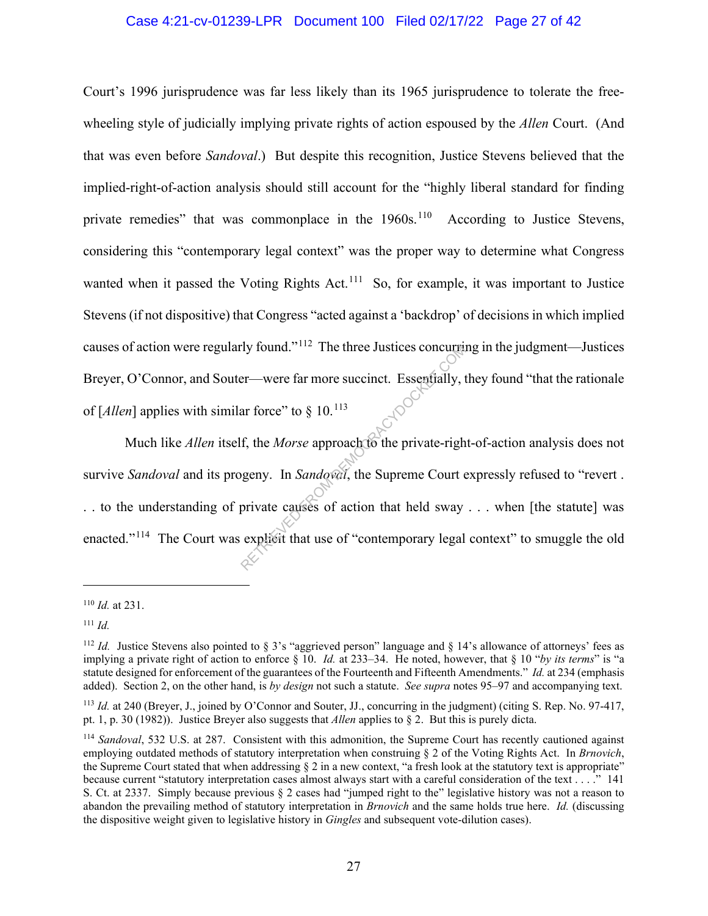#### Case 4:21-cv-01239-LPR Document 100 Filed 02/17/22 Page 27 of 42

Court's 1996 jurisprudence was far less likely than its 1965 jurisprudence to tolerate the freewheeling style of judicially implying private rights of action espoused by the *Allen* Court. (And that was even before *Sandoval*.) But despite this recognition, Justice Stevens believed that the implied-right-of-action analysis should still account for the "highly liberal standard for finding private remedies" that was commonplace in the 1960s.<sup>110</sup> According to Justice Stevens, considering this "contemporary legal context" was the proper way to determine what Congress wanted when it passed the Voting Rights Act.<sup>111</sup> So, for example, it was important to Justice Stevens (if not dispositive) that Congress "acted against a 'backdrop' of decisions in which implied causes of action were regularly found."112 The three Justices concurring in the judgment—Justices Breyer, O'Connor, and Souter—were far more succinct. Essentially, they found "that the rationale of  $\lceil$ *Allen* $\rceil$  applies with similar force" to  $\S$  10.<sup>113</sup>

Much like *Allen* itself, the *Morse* approach to the private-right-of-action analysis does not survive *Sandoval* and its progeny. In *Sandoval*, the Supreme Court expressly refused to "revert . . . to the understanding of private causes of action that held sway . . . when [the statute] was enacted."<sup>114</sup> The Court was explicit that use of "contemporary legal context" to smuggle the old Example 118 for the Hustress concurrence<br>
er—were far more succinct. Essentially, t<br>
ar force" to  $\S$  10.<sup>113</sup><br>
f, the *Morse* approach to the private-righ<br>
in Sandowal, the Supreme Court of<br>
private causes of action that

<sup>110</sup> *Id.* at 231.

<sup>111</sup> *Id.*

<sup>&</sup>lt;sup>112</sup> *Id.* Justice Stevens also pointed to § 3's "aggrieved person" language and § 14's allowance of attorneys' fees as implying a private right of action to enforce  $\S$  10. *Id.* at 233–34. He noted, however, that  $\S$  10 "*by its terms*" is "a statute designed for enforcement of the guarantees of the Fourteenth and Fifteenth Amendments." *Id.* at 234 (emphasis added). Section 2, on the other hand, is *by design* not such a statute. *See supra* notes 95–97 and accompanying text.

<sup>113</sup> *Id.* at 240 (Breyer, J., joined by O'Connor and Souter, JJ., concurring in the judgment) (citing S. Rep. No. 97-417, pt. 1, p. 30 (1982)). Justice Breyer also suggests that *Allen* applies to § 2. But this is purely dicta.

<sup>114</sup> *Sandoval*, 532 U.S. at 287. Consistent with this admonition, the Supreme Court has recently cautioned against employing outdated methods of statutory interpretation when construing § 2 of the Voting Rights Act. In *Brnovich*, the Supreme Court stated that when addressing § 2 in a new context, "a fresh look at the statutory text is appropriate" because current "statutory interpretation cases almost always start with a careful consideration of the text . . . ." 141 S. Ct. at 2337. Simply because previous § 2 cases had "jumped right to the" legislative history was not a reason to abandon the prevailing method of statutory interpretation in *Brnovich* and the same holds true here. *Id.* (discussing the dispositive weight given to legislative history in *Gingles* and subsequent vote-dilution cases).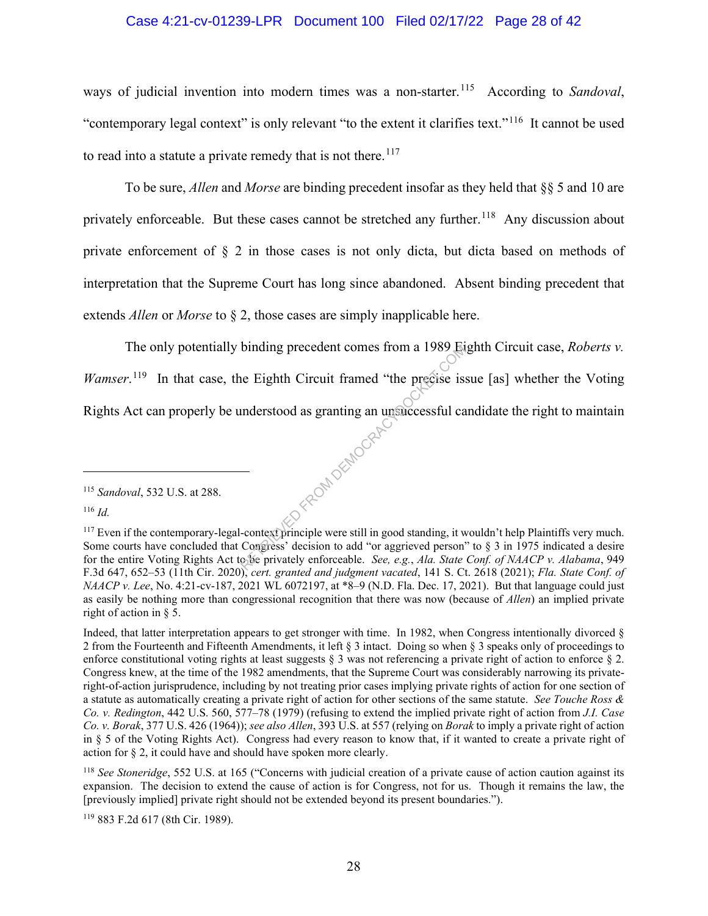#### Case 4:21-cv-01239-LPR Document 100 Filed 02/17/22 Page 28 of 42

ways of judicial invention into modern times was a non-starter.<sup>115</sup> According to *Sandoval*, "contemporary legal context" is only relevant "to the extent it clarifies text."<sup>116</sup> It cannot be used to read into a statute a private remedy that is not there.<sup>117</sup>

To be sure, *Allen* and *Morse* are binding precedent insofar as they held that §§ 5 and 10 are privately enforceable. But these cases cannot be stretched any further.<sup>118</sup> Any discussion about private enforcement of § 2 in those cases is not only dicta, but dicta based on methods of interpretation that the Supreme Court has long since abandoned. Absent binding precedent that extends *Allen* or *Morse* to § 2, those cases are simply inapplicable here.

 The only potentially binding precedent comes from a 1989 Eighth Circuit case, *Roberts v. Wamser*.<sup>119</sup> In that case, the Eighth Circuit framed "the precise issue [as] whether the Voting Rights Act can properly be understood as granting an unsuccessful candidate the right to maintain Y FROM DEMOCRACY

<sup>115</sup> *Sandoval*, 532 U.S. at 288.

<sup>116</sup> *Id.*

<sup>&</sup>lt;sup>117</sup> Even if the contemporary-legal-context principle were still in good standing, it wouldn't help Plaintiffs very much. Some courts have concluded that Congress' decision to add "or aggrieved person" to  $\S$  3 in 1975 indicated a desire for the entire Voting Rights Act to be privately enforceable. *See, e.g.*, *Ala. State Conf. of NAACP v. Alabama*, 949 F.3d 647, 652–53 (11th Cir. 2020), *cert. granted and judgment vacated*, 141 S. Ct. 2618 (2021); *Fla. State Conf. of NAACP v. Lee*, No. 4:21-cv-187, 2021 WL 6072197, at \*8–9 (N.D. Fla. Dec. 17, 2021). But that language could just as easily be nothing more than congressional recognition that there was now (because of *Allen*) an implied private right of action in § 5.

Indeed, that latter interpretation appears to get stronger with time. In 1982, when Congress intentionally divorced § 2 from the Fourteenth and Fifteenth Amendments, it left § 3 intact. Doing so when § 3 speaks only of proceedings to enforce constitutional voting rights at least suggests  $\S$  3 was not referencing a private right of action to enforce  $\S$  2. Congress knew, at the time of the 1982 amendments, that the Supreme Court was considerably narrowing its privateright-of-action jurisprudence, including by not treating prior cases implying private rights of action for one section of a statute as automatically creating a private right of action for other sections of the same statute. *See Touche Ross & Co. v. Redington*, 442 U.S. 560, 577–78 (1979) (refusing to extend the implied private right of action from *J.I. Case Co. v. Borak*, 377 U.S. 426 (1964)); *see also Allen*, 393 U.S. at 557 (relying on *Borak* to imply a private right of action in § 5 of the Voting Rights Act). Congress had every reason to know that, if it wanted to create a private right of action for § 2, it could have and should have spoken more clearly.

<sup>118</sup> *See Stoneridge*, 552 U.S. at 165 ("Concerns with judicial creation of a private cause of action caution against its expansion. The decision to extend the cause of action is for Congress, not for us. Though it remains the law, the [previously implied] private right should not be extended beyond its present boundaries.").

<sup>119</sup> 883 F.2d 617 (8th Cir. 1989).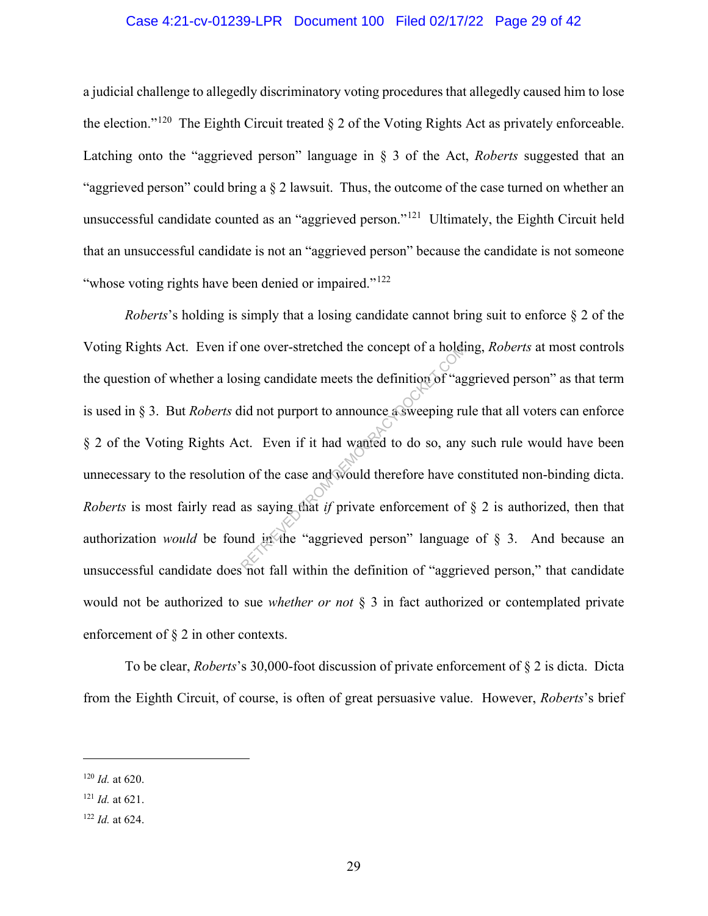#### Case 4:21-cv-01239-LPR Document 100 Filed 02/17/22 Page 29 of 42

a judicial challenge to allegedly discriminatory voting procedures that allegedly caused him to lose the election."<sup>120</sup> The Eighth Circuit treated  $\S 2$  of the Voting Rights Act as privately enforceable. Latching onto the "aggrieved person" language in § 3 of the Act, *Roberts* suggested that an "aggrieved person" could bring a § 2 lawsuit. Thus, the outcome of the case turned on whether an unsuccessful candidate counted as an "aggrieved person."121 Ultimately, the Eighth Circuit held that an unsuccessful candidate is not an "aggrieved person" because the candidate is not someone "whose voting rights have been denied or impaired."<sup>122</sup>

*Roberts*'s holding is simply that a losing candidate cannot bring suit to enforce § 2 of the Voting Rights Act. Even if one over-stretched the concept of a holding, *Roberts* at most controls the question of whether a losing candidate meets the definition of "aggrieved person" as that term is used in § 3. But *Roberts* did not purport to announce a sweeping rule that all voters can enforce § 2 of the Voting Rights Act. Even if it had wanted to do so, any such rule would have been unnecessary to the resolution of the case and would therefore have constituted non-binding dicta. *Roberts* is most fairly read as saying that *if* private enforcement of § 2 is authorized, then that authorization *would* be found in the "aggrieved person" language of § 3. And because an unsuccessful candidate does not fall within the definition of "aggrieved person," that candidate would not be authorized to sue *whether or not* § 3 in fact authorized or contemplated private enforcement of § 2 in other contexts. one over-stretched the concept of a holds<br>sing candidate meets the definition of "ag<br>lid not purport to announce asweeping ru<br>ct. Even if it had wanted to do so, any<br>n of the case and would therefore have co<br>as saying that

To be clear, *Roberts*'s 30,000-foot discussion of private enforcement of § 2 is dicta. Dicta from the Eighth Circuit, of course, is often of great persuasive value. However, *Roberts*'s brief

<sup>120</sup> *Id.* at 620.

<sup>121</sup> *Id.* at 621.

<sup>122</sup> *Id.* at 624.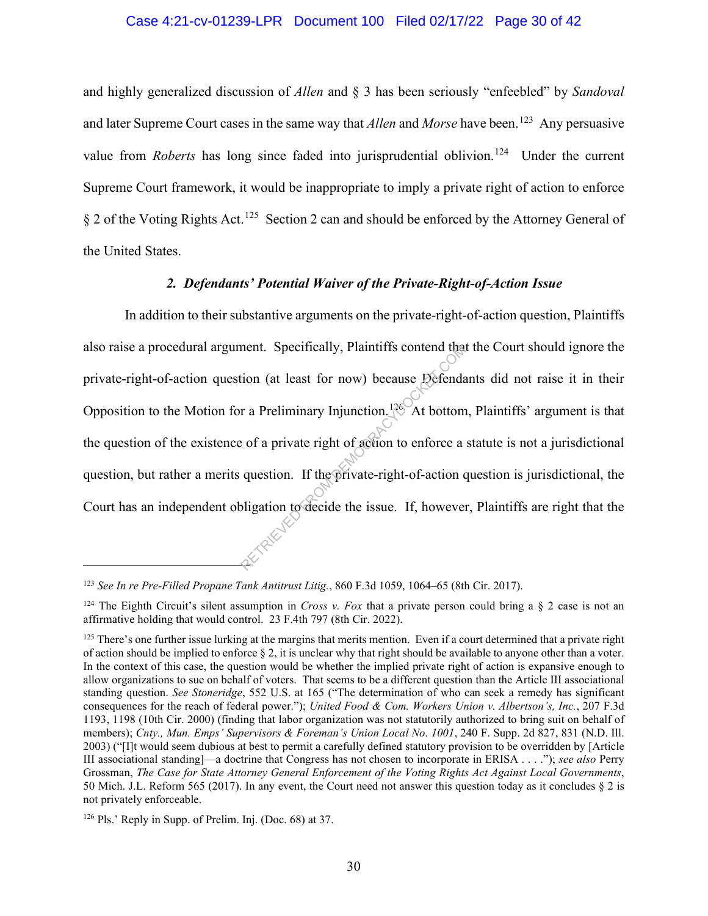#### Case 4:21-cv-01239-LPR Document 100 Filed 02/17/22 Page 30 of 42

and highly generalized discussion of *Allen* and § 3 has been seriously "enfeebled" by *Sandoval* and later Supreme Court cases in the same way that *Allen* and *Morse* have been.<sup>123</sup> Any persuasive value from *Roberts* has long since faded into jurisprudential oblivion.<sup>124</sup> Under the current Supreme Court framework, it would be inappropriate to imply a private right of action to enforce § 2 of the Voting Rights Act.<sup>125</sup> Section 2 can and should be enforced by the Attorney General of the United States.

# *2. Defendants' Potential Waiver of the Private-Right-of-Action Issue*

In addition to their substantive arguments on the private-right-of-action question, Plaintiffs also raise a procedural argument. Specifically, Plaintiffs contend that the Court should ignore the private-right-of-action question (at least for now) because Defendants did not raise it in their Opposition to the Motion for a Preliminary Injunction.<sup>126</sup> At bottom, Plaintiffs' argument is that the question of the existence of a private right of action to enforce a statute is not a jurisdictional question, but rather a merits question. If the private-right-of-action question is jurisdictional, the Court has an independent obligation to decide the issue. If, however, Plaintiffs are right that the ment. Specifically, Plaintiffs contend that<br>tion (at least for now) because Defendar<br>r a Preliminary Injunction.<sup>126</sup> At bottom<br>exists of a private right of action to enforce a<br>question. If the private-right-of-action of<br>o

<sup>123</sup> *See In re Pre-Filled Propane Tank Antitrust Litig.*, 860 F.3d 1059, 1064–65 (8th Cir. 2017).

<sup>&</sup>lt;sup>124</sup> The Eighth Circuit's silent assumption in *Cross v. Fox* that a private person could bring a  $\S$  2 case is not an affirmative holding that would control. 23 F.4th 797 (8th Cir. 2022).

 $125$  There's one further issue lurking at the margins that merits mention. Even if a court determined that a private right of action should be implied to enforce § 2, it is unclear why that right should be available to anyone other than a voter. In the context of this case, the question would be whether the implied private right of action is expansive enough to allow organizations to sue on behalf of voters. That seems to be a different question than the Article III associational standing question. *See Stoneridge*, 552 U.S. at 165 ("The determination of who can seek a remedy has significant consequences for the reach of federal power."); *United Food & Com. Workers Union v. Albertson's, Inc.*, 207 F.3d 1193, 1198 (10th Cir. 2000) (finding that labor organization was not statutorily authorized to bring suit on behalf of members); *Cnty., Mun. Emps' Supervisors & Foreman's Union Local No. 1001*, 240 F. Supp. 2d 827, 831 (N.D. Ill. 2003) ("[I]t would seem dubious at best to permit a carefully defined statutory provision to be overridden by [Article III associational standing]—a doctrine that Congress has not chosen to incorporate in ERISA . . . ."); *see also* Perry Grossman, *The Case for State Attorney General Enforcement of the Voting Rights Act Against Local Governments*, 50 Mich. J.L. Reform 565 (2017). In any event, the Court need not answer this question today as it concludes § 2 is not privately enforceable.

<sup>126</sup> Pls.' Reply in Supp. of Prelim. Inj. (Doc. 68) at 37.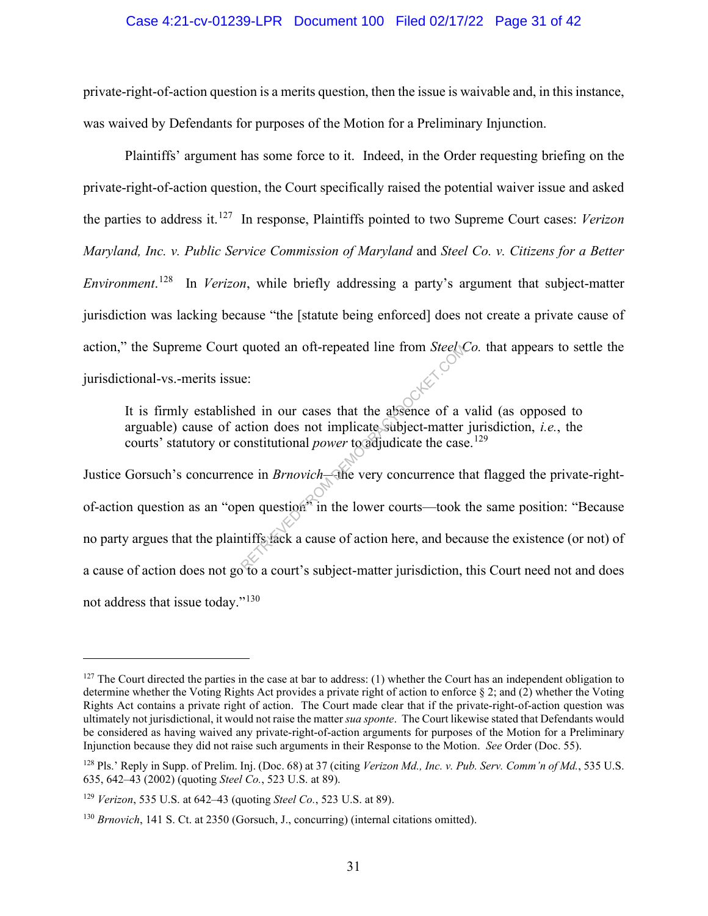#### Case 4:21-cv-01239-LPR Document 100 Filed 02/17/22 Page 31 of 42

private-right-of-action question is a merits question, then the issue is waivable and, in this instance, was waived by Defendants for purposes of the Motion for a Preliminary Injunction.

Plaintiffs' argument has some force to it. Indeed, in the Order requesting briefing on the private-right-of-action question, the Court specifically raised the potential waiver issue and asked the parties to address it.127 In response, Plaintiffs pointed to two Supreme Court cases: *Verizon Maryland, Inc. v. Public Service Commission of Maryland* and *Steel Co. v. Citizens for a Better Environment*. 128 In *Verizon*, while briefly addressing a party's argument that subject-matter jurisdiction was lacking because "the [statute being enforced] does not create a private cause of action," the Supreme Court quoted an oft-repeated line from *Steel Co.* that appears to settle the jurisdictional-vs.-merits issue:

It is firmly established in our cases that the absence of a valid (as opposed to arguable) cause of action does not implicate subject-matter jurisdiction, *i.e.*, the courts' statutory or constitutional *power* to adjudicate the case.<sup>129</sup>

Justice Gorsuch's concurrence in *Brnovich*—the very concurrence that flagged the private-rightof-action question as an "open question" in the lower courts—took the same position: "Because no party argues that the plaintiffs lack a cause of action here, and because the existence (or not) of a cause of action does not go to a court's subject-matter jurisdiction, this Court need not and does not address that issue today."<sup>130</sup> quoted an off-repeated line from *Steel*<br>e:<br>e:<br>ded in our cases that the absence of a<br>ction does not implicate subject-matter<br>onstitutional *power* to adjudicate the case<br>ce in *Brnovich*—the very concurrence the<br>en questi

 $127$  The Court directed the parties in the case at bar to address: (1) whether the Court has an independent obligation to determine whether the Voting Rights Act provides a private right of action to enforce § 2; and (2) whether the Voting Rights Act contains a private right of action. The Court made clear that if the private-right-of-action question was ultimately not jurisdictional, it would not raise the matter *sua sponte*. The Court likewise stated that Defendants would be considered as having waived any private-right-of-action arguments for purposes of the Motion for a Preliminary Injunction because they did not raise such arguments in their Response to the Motion. *See* Order (Doc. 55).

<sup>128</sup> Pls.' Reply in Supp. of Prelim. Inj. (Doc. 68) at 37 (citing *Verizon Md., Inc. v. Pub. Serv. Comm'n of Md.*, 535 U.S. 635, 642–43 (2002) (quoting *Steel Co.*, 523 U.S. at 89).

<sup>129</sup> *Verizon*, 535 U.S. at 642–43 (quoting *Steel Co.*, 523 U.S. at 89).

<sup>130</sup> *Brnovich*, 141 S. Ct. at 2350 (Gorsuch, J., concurring) (internal citations omitted).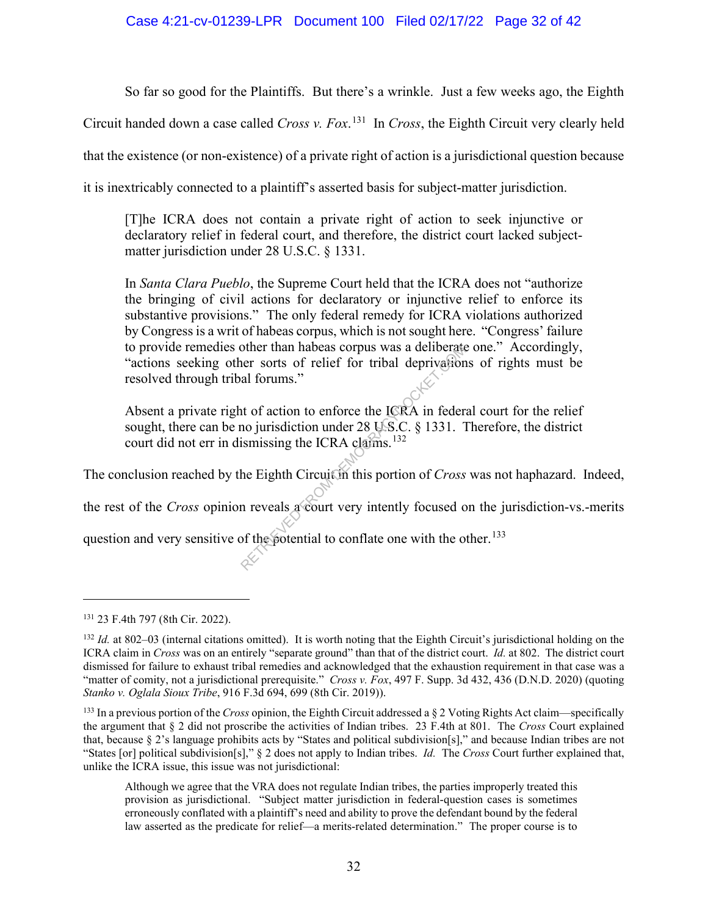# Case 4:21-cv-01239-LPR Document 100 Filed 02/17/22 Page 32 of 42

So far so good for the Plaintiffs. But there's a wrinkle. Just a few weeks ago, the Eighth

Circuit handed down a case called *Cross v. Fox*. 131 In *Cross*, the Eighth Circuit very clearly held

that the existence (or non-existence) of a private right of action is a jurisdictional question because

it is inextricably connected to a plaintiff's asserted basis for subject-matter jurisdiction.

[T]he ICRA does not contain a private right of action to seek injunctive or declaratory relief in federal court, and therefore, the district court lacked subjectmatter jurisdiction under 28 U.S.C. § 1331.

In *Santa Clara Pueblo*, the Supreme Court held that the ICRA does not "authorize the bringing of civil actions for declaratory or injunctive relief to enforce its substantive provisions." The only federal remedy for ICRA violations authorized by Congress is a writ of habeas corpus, which is not sought here. "Congress' failure to provide remedies other than habeas corpus was a deliberate one." Accordingly, "actions seeking other sorts of relief for tribal deprivations of rights must be resolved through tribal forums."

Absent a private right of action to enforce the ICRA in federal court for the relief sought, there can be no jurisdiction under  $28 \text{ US.C.} \& 1331$ . Therefore, the district court did not err in dismissing the ICRA claims.<sup>132</sup> other than habeas corpus was a deliberate<br>her sorts of relief for tribal deprivation<br>al forums."<br>to discuss of relief for tribal deprivation<br>al forums."<br>to discuss of the Eighth Circuit of this portion of *Cross*<br>n reveals

The conclusion reached by the Eighth Circuit in this portion of *Cross* was not haphazard. Indeed,

the rest of the *Cross* opinion reveals a court very intently focused on the jurisdiction-vs.-merits

question and very sensitive of the potential to conflate one with the other.<sup>133</sup>

<sup>131</sup> 23 F.4th 797 (8th Cir. 2022).

<sup>&</sup>lt;sup>132</sup> *Id.* at 802–03 (internal citations omitted). It is worth noting that the Eighth Circuit's jurisdictional holding on the ICRA claim in *Cross* was on an entirely "separate ground" than that of the district court. *Id.* at 802. The district court dismissed for failure to exhaust tribal remedies and acknowledged that the exhaustion requirement in that case was a "matter of comity, not a jurisdictional prerequisite." *Cross v. Fox*, 497 F. Supp. 3d 432, 436 (D.N.D. 2020) (quoting *Stanko v. Oglala Sioux Tribe*, 916 F.3d 694, 699 (8th Cir. 2019)).

<sup>133</sup> In a previous portion of the *Cross* opinion, the Eighth Circuit addressed a § 2 Voting Rights Act claim—specifically the argument that § 2 did not proscribe the activities of Indian tribes. 23 F.4th at 801. The *Cross* Court explained that, because § 2's language prohibits acts by "States and political subdivision[s]," and because Indian tribes are not "States [or] political subdivision[s]," § 2 does not apply to Indian tribes. *Id.* The *Cross* Court further explained that, unlike the ICRA issue, this issue was not jurisdictional:

Although we agree that the VRA does not regulate Indian tribes, the parties improperly treated this provision as jurisdictional. "Subject matter jurisdiction in federal-question cases is sometimes erroneously conflated with a plaintiff's need and ability to prove the defendant bound by the federal law asserted as the predicate for relief—a merits-related determination." The proper course is to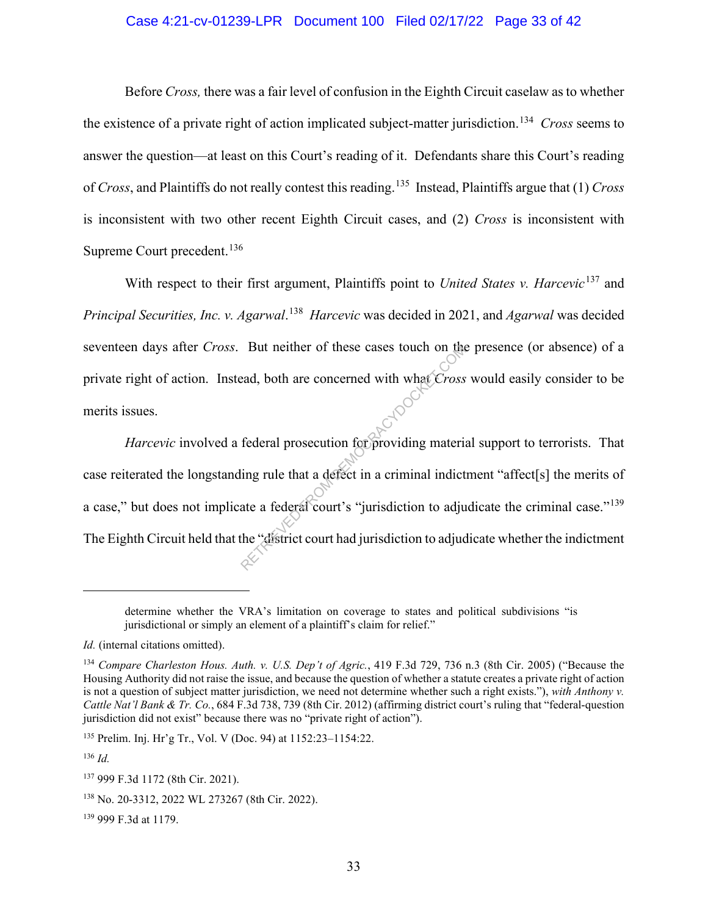### Case 4:21-cv-01239-LPR Document 100 Filed 02/17/22 Page 33 of 42

Before *Cross,* there was a fair level of confusion in the Eighth Circuit caselaw as to whether the existence of a private right of action implicated subject-matter jurisdiction. 134 *Cross* seems to answer the question—at least on this Court's reading of it. Defendants share this Court's reading of *Cross*, and Plaintiffs do not really contest this reading.<sup>135</sup>Instead, Plaintiffs argue that (1) *Cross*  is inconsistent with two other recent Eighth Circuit cases, and (2) *Cross* is inconsistent with Supreme Court precedent.<sup>136</sup>

With respect to their first argument, Plaintiffs point to *United States v. Harcevic*<sup>137</sup> and *Principal Securities, Inc. v. Agarwal*. 138 *Harcevic* was decided in 2021, and *Agarwal* was decided seventeen days after *Cross*.But neither of these cases touch on the presence (or absence) of a private right of action. Instead, both are concerned with what *Cross* would easily consider to be merits issues.

*Harcevic* involved a federal prosecution for providing material support to terrorists. That case reiterated the longstanding rule that a defect in a criminal indictment "affect[s] the merits of a case," but does not implicate a federal court's "jurisdiction to adjudicate the criminal case."<sup>139</sup> The Eighth Circuit held that the "district court had jurisdiction to adjudicate whether the indictment But nether of these cases touch on the<br>ead, both are concerned with what *Cross*<br>federal prosecution for providing material<br>ling rule that a defect in a criminal indict<br>ate a federal court's "jurisdiction to adjue<br>the "dis

<sup>135</sup> Prelim. Inj. Hr'g Tr., Vol. V (Doc. 94) at 1152:23–1154:22.

<sup>136</sup> *Id.*

<sup>139</sup> 999 F.3d at 1179.

determine whether the VRA's limitation on coverage to states and political subdivisions "is jurisdictional or simply an element of a plaintiff's claim for relief."

*Id.* (internal citations omitted).

<sup>134</sup> *Compare Charleston Hous. Auth. v. U.S. Dep't of Agric.*, 419 F.3d 729, 736 n.3 (8th Cir. 2005) ("Because the Housing Authority did not raise the issue, and because the question of whether a statute creates a private right of action is not a question of subject matter jurisdiction, we need not determine whether such a right exists."), *with Anthony v. Cattle Nat'l Bank & Tr. Co.*, 684 F.3d 738, 739 (8th Cir. 2012) (affirming district court's ruling that "federal-question jurisdiction did not exist" because there was no "private right of action").

<sup>137</sup> 999 F.3d 1172 (8th Cir. 2021).

<sup>138</sup> No. 20-3312, 2022 WL 273267 (8th Cir. 2022).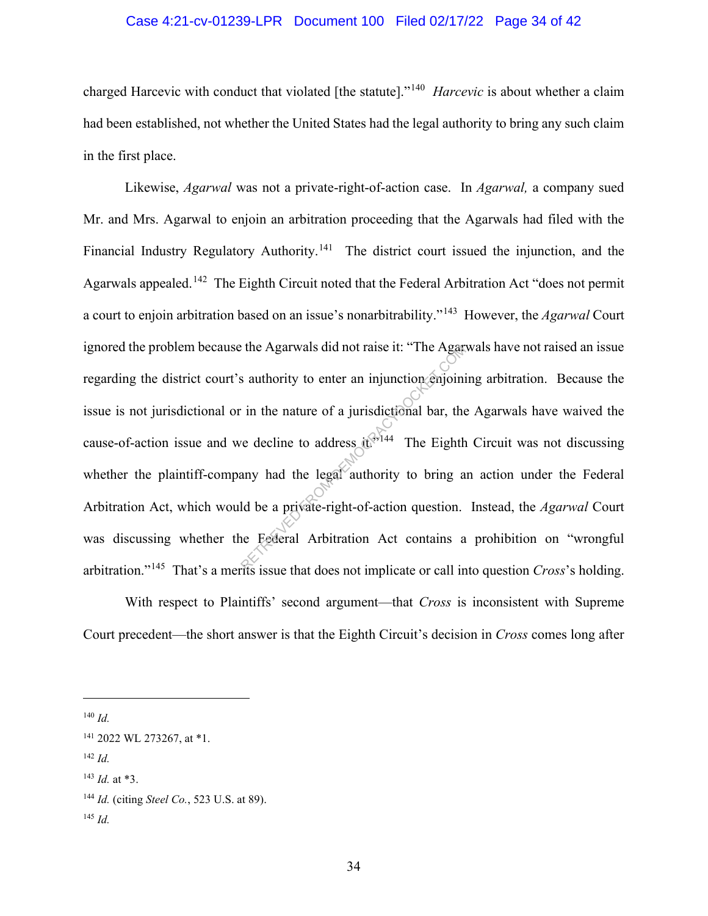#### Case 4:21-cv-01239-LPR Document 100 Filed 02/17/22 Page 34 of 42

charged Harcevic with conduct that violated [the statute]."140 *Harcevic* is about whether a claim had been established, not whether the United States had the legal authority to bring any such claim in the first place.

Likewise, *Agarwal* was not a private-right-of-action case. In *Agarwal,* a company sued Mr. and Mrs. Agarwal to enjoin an arbitration proceeding that the Agarwals had filed with the Financial Industry Regulatory Authority.<sup>141</sup> The district court issued the injunction, and the Agarwals appealed.<sup>142</sup> The Eighth Circuit noted that the Federal Arbitration Act "does not permit a court to enjoin arbitration based on an issue's nonarbitrability."143 However, the *Agarwal* Court ignored the problem because the Agarwals did not raise it: "The Agarwals have not raised an issue regarding the district court's authority to enter an injunction enjoining arbitration. Because the issue is not jurisdictional or in the nature of a jurisdictional bar, the Agarwals have waived the cause-of-action issue and we decline to address  $t^{3.144}$  The Eighth Circuit was not discussing whether the plaintiff-company had the legal authority to bring an action under the Federal Arbitration Act, which would be a private-right-of-action question. Instead, the *Agarwal* Court was discussing whether the Federal Arbitration Act contains a prohibition on "wrongful arbitration."145 That's a merits issue that does not implicate or call into question *Cross*'s holding. Example the Agarwals did not raise it: "The Agar<br>
is authority to enter an injunction enjoining<br>
in the nature of a jurisdictional bar, the<br>
ve decline to address it<br>  $\frac{1}{\sqrt{2}}$  The Eighth<br>
any had the legal authority t

With respect to Plaintiffs' second argument—that *Cross* is inconsistent with Supreme Court precedent—the short answer is that the Eighth Circuit's decision in *Cross* comes long after

<sup>140</sup> *Id.*

<sup>142</sup> *Id.*

<sup>141</sup> 2022 WL 273267, at \*1.

<sup>143</sup> *Id.* at \*3.

<sup>144</sup> *Id.* (citing *Steel Co.*, 523 U.S. at 89).

<sup>145</sup> *Id.*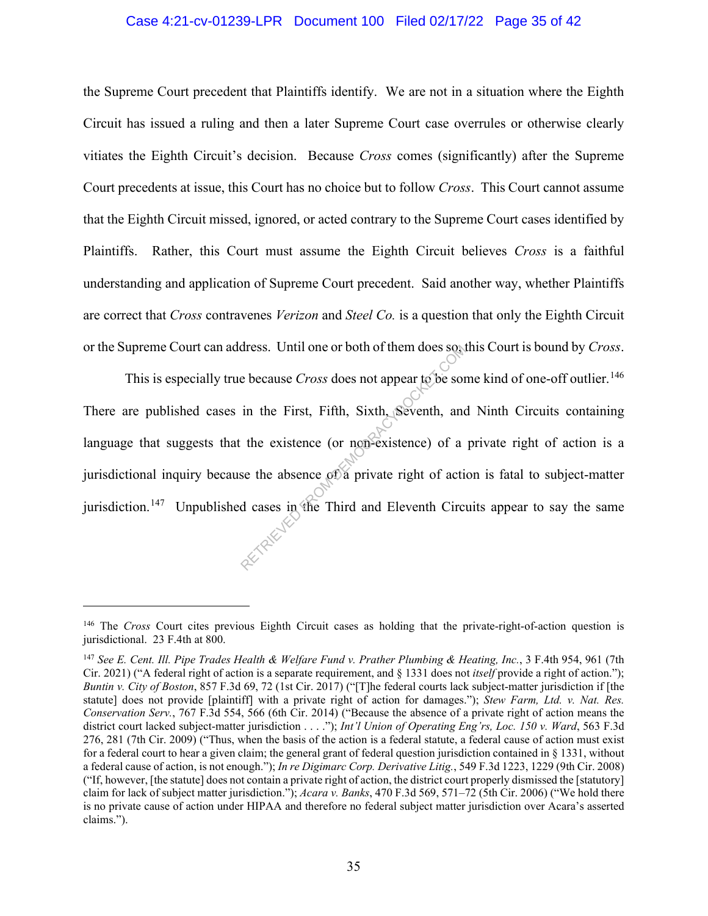#### Case 4:21-cv-01239-LPR Document 100 Filed 02/17/22 Page 35 of 42

the Supreme Court precedent that Plaintiffs identify. We are not in a situation where the Eighth Circuit has issued a ruling and then a later Supreme Court case overrules or otherwise clearly vitiates the Eighth Circuit's decision. Because *Cross* comes (significantly) after the Supreme Court precedents at issue, this Court has no choice but to follow *Cross*. This Court cannot assume that the Eighth Circuit missed, ignored, or acted contrary to the Supreme Court cases identified by Plaintiffs. Rather, this Court must assume the Eighth Circuit believes *Cross* is a faithful understanding and application of Supreme Court precedent. Said another way, whether Plaintiffs are correct that *Cross* contravenes *Verizon* and *Steel Co.* is a question that only the Eighth Circuit or the Supreme Court can address. Until one or both of them does so, this Court is bound by *Cross*.

This is especially true because *Cross* does not appear to be some kind of one-off outlier. 146 There are published cases in the First, Fifth, Sixth, Seventh, and Ninth Circuits containing language that suggests that the existence (or non-existence) of a private right of action is a jurisdictional inquiry because the absence of a private right of action is fatal to subject-matter jurisdiction.<sup>147</sup> Unpublished cases in the Third and Eleventh Circuits appear to say the same dress. Until one or both of them does so the because *Cross* does not appear to be sort in the First, Fifth, Sixth, Seventh, and the existence (or non-existence) of a see the absence of a private right of action decays in

<sup>146</sup> The *Cross* Court cites previous Eighth Circuit cases as holding that the private-right-of-action question is jurisdictional. 23 F.4th at 800.

<sup>147</sup> *See E. Cent. Ill. Pipe Trades Health & Welfare Fund v. Prather Plumbing & Heating, Inc.*, 3 F.4th 954, 961 (7th Cir. 2021) ("A federal right of action is a separate requirement, and § 1331 does not *itself* provide a right of action."); *Buntin v. City of Boston*, 857 F.3d 69, 72 (1st Cir. 2017) ("[T]he federal courts lack subject-matter jurisdiction if [the statute] does not provide [plaintiff] with a private right of action for damages."); *Stew Farm, Ltd. v. Nat. Res. Conservation Serv.*, 767 F.3d 554, 566 (6th Cir. 2014) ("Because the absence of a private right of action means the district court lacked subject-matter jurisdiction . . . ."); *Int'l Union of Operating Eng'rs, Loc. 150 v. Ward*, 563 F.3d 276, 281 (7th Cir. 2009) ("Thus, when the basis of the action is a federal statute, a federal cause of action must exist for a federal court to hear a given claim; the general grant of federal question jurisdiction contained in § 1331, without a federal cause of action, is not enough."); *In re Digimarc Corp. Derivative Litig.*, 549 F.3d 1223, 1229 (9th Cir. 2008) ("If, however, [the statute] does not contain a private right of action, the district court properly dismissed the [statutory] claim for lack of subject matter jurisdiction."); *Acara v. Banks*, 470 F.3d 569, 571–72 (5th Cir. 2006) ("We hold there is no private cause of action under HIPAA and therefore no federal subject matter jurisdiction over Acara's asserted claims.").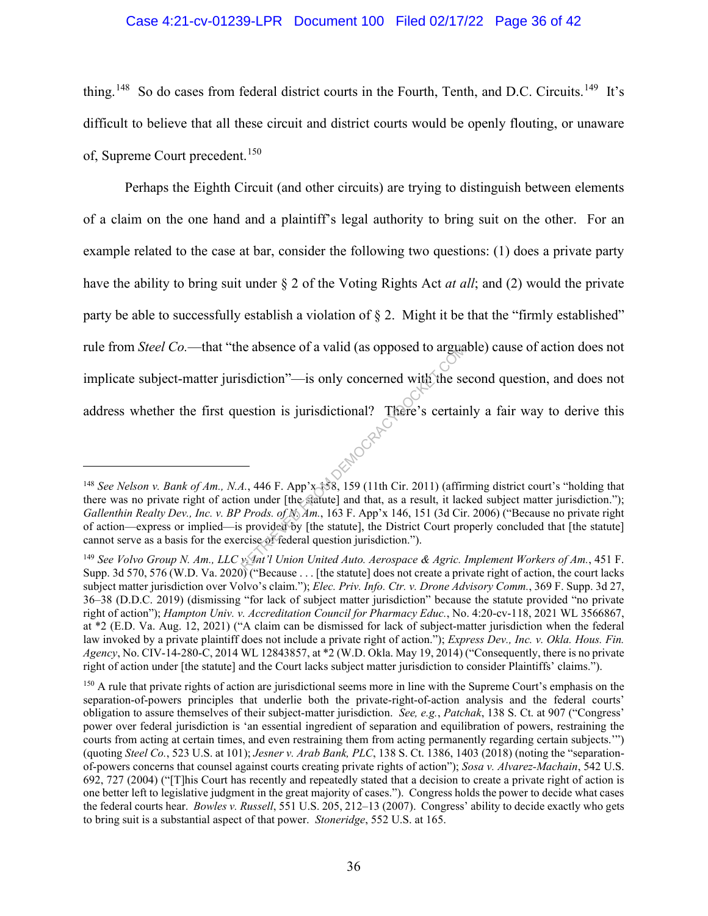### Case 4:21-cv-01239-LPR Document 100 Filed 02/17/22 Page 36 of 42

thing.<sup>148</sup> So do cases from federal district courts in the Fourth, Tenth, and D.C. Circuits.<sup>149</sup> It's difficult to believe that all these circuit and district courts would be openly flouting, or unaware of, Supreme Court precedent.<sup>150</sup>

Perhaps the Eighth Circuit (and other circuits) are trying to distinguish between elements of a claim on the one hand and a plaintiff's legal authority to bring suit on the other. For an example related to the case at bar, consider the following two questions: (1) does a private party have the ability to bring suit under § 2 of the Voting Rights Act *at all*; and (2) would the private party be able to successfully establish a violation of § 2. Might it be that the "firmly established" rule from *Steel Co.*—that "the absence of a valid (as opposed to arguable) cause of action does not implicate subject-matter jurisdiction"—is only concerned with the second question, and does not address whether the first question is jurisdictional? There's certainly a fair way to derive this Reflection  $\cdot$  and  $\cdot$  and  $\cdot$  and  $\cdot$  and  $\cdot$  and  $\cdot$  and  $\cdot$  and  $\cdot$  and  $\cdot$  and  $\cdot$  and  $\cdot$  and  $\cdot$  and  $\cdot$  and  $\cdot$  and  $\cdot$  and  $\cdot$  are  $\cdot$  and  $\cdot$  and  $\cdot$  and  $\cdot$  are  $\cdot$  and  $\cdot$  and  $\cdot$  are  $\cdot$ 

<sup>148</sup> *See Nelson v. Bank of Am., N.A.*, 446 F. App'x 158, 159 (11th Cir. 2011) (affirming district court's "holding that there was no private right of action under [the statute] and that, as a result, it lacked subject matter jurisdiction."); *Gallenthin Realty Dev., Inc. v. BP Prods. of N. Am.*, 163 F. App'x 146, 151 (3d Cir. 2006) ("Because no private right of action—express or implied—is provided by [the statute], the District Court properly concluded that [the statute] cannot serve as a basis for the exercise of federal question jurisdiction.").

<sup>149</sup> *See Volvo Group N. Am., LLC v. Int'l Union United Auto. Aerospace & Agric. Implement Workers of Am.*, 451 F. Supp. 3d 570, 576 (W.D. Va. 2020) ("Because . . . [the statute] does not create a private right of action, the court lacks subject matter jurisdiction over Volvo's claim."); *Elec. Priv. Info. Ctr. v. Drone Advisory Comm.*, 369 F. Supp. 3d 27, 36–38 (D.D.C. 2019) (dismissing "for lack of subject matter jurisdiction" because the statute provided "no private right of action"); *Hampton Univ. v. Accreditation Council for Pharmacy Educ.*, No. 4:20-cv-118, 2021 WL 3566867, at \*2 (E.D. Va. Aug. 12, 2021) ("A claim can be dismissed for lack of subject-matter jurisdiction when the federal law invoked by a private plaintiff does not include a private right of action."); *Express Dev., Inc. v. Okla. Hous. Fin. Agency*, No. CIV-14-280-C, 2014 WL 12843857, at \*2 (W.D. Okla. May 19, 2014) ("Consequently, there is no private right of action under [the statute] and the Court lacks subject matter jurisdiction to consider Plaintiffs' claims.").

<sup>&</sup>lt;sup>150</sup> A rule that private rights of action are jurisdictional seems more in line with the Supreme Court's emphasis on the separation-of-powers principles that underlie both the private-right-of-action analysis and the federal courts' obligation to assure themselves of their subject-matter jurisdiction. *See, e.g.*, *Patchak*, 138 S. Ct. at 907 ("Congress' power over federal jurisdiction is 'an essential ingredient of separation and equilibration of powers, restraining the courts from acting at certain times, and even restraining them from acting permanently regarding certain subjects.'") (quoting *Steel Co.*, 523 U.S. at 101); *Jesner v. Arab Bank, PLC*, 138 S. Ct. 1386, 1403 (2018) (noting the "separationof-powers concerns that counsel against courts creating private rights of action"); *Sosa v. Alvarez-Machain*, 542 U.S. 692, 727 (2004) ("[T]his Court has recently and repeatedly stated that a decision to create a private right of action is one better left to legislative judgment in the great majority of cases."). Congress holds the power to decide what cases the federal courts hear. *Bowles v. Russell*, 551 U.S. 205, 212–13 (2007). Congress' ability to decide exactly who gets to bring suit is a substantial aspect of that power. *Stoneridge*, 552 U.S. at 165.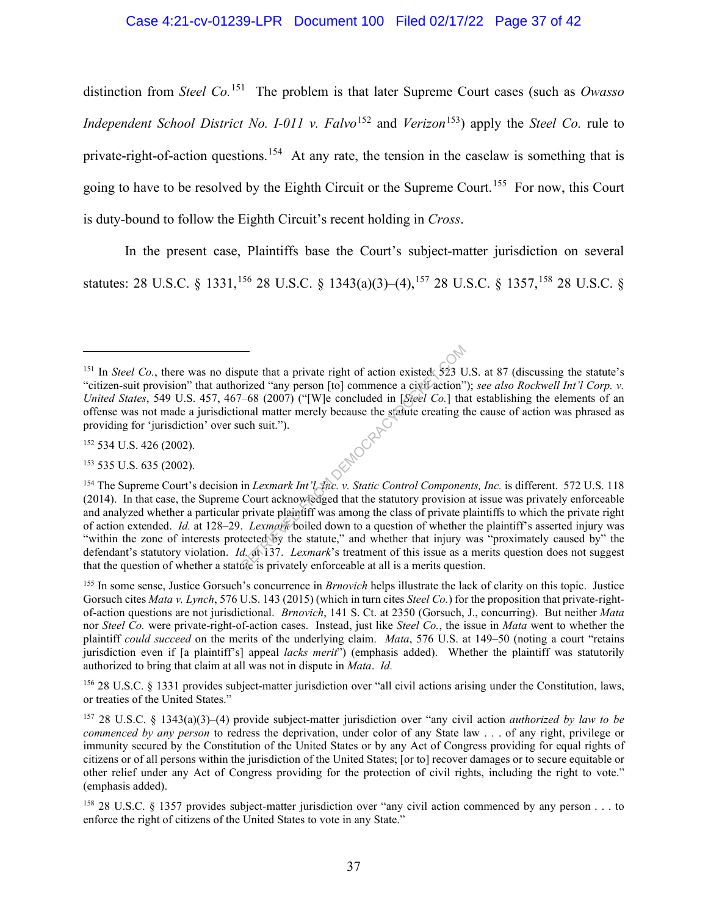# Case 4:21-cv-01239-LPR Document 100 Filed 02/17/22 Page 37 of 42

distinction from *Steel Co.* 151 The problem is that later Supreme Court cases (such as *Owasso Independent School District No. I-011 v. Falvo*<sup>152</sup> and *Verizon*<sup>153</sup>) apply the *Steel Co.* rule to private-right-of-action questions.<sup>154</sup> At any rate, the tension in the caselaw is something that is going to have to be resolved by the Eighth Circuit or the Supreme Court.<sup>155</sup> For now, this Court is duty-bound to follow the Eighth Circuit's recent holding in *Cross*.

In the present case, Plaintiffs base the Court's subject-matter jurisdiction on several statutes: 28 U.S.C. § 1331,<sup>156</sup> 28 U.S.C. § 1343(a)(3)–(4),<sup>157</sup> 28 U.S.C. § 1357,<sup>158</sup> 28 U.S.C. §

<sup>152</sup> 534 U.S. 426 (2002).

<sup>153</sup> 535 U.S. 635 (2002).

<sup>156</sup> 28 U.S.C. § 1331 provides subject-matter jurisdiction over "all civil actions arising under the Constitution, laws, or treaties of the United States."

<sup>&</sup>lt;sup>151</sup> In *Steel Co.*, there was no dispute that a private right of action existed. 523 U.S. at 87 (discussing the statute's "citizen-suit provision" that authorized "any person [to] commence a civil action"); *see also Rockwell Int'l Corp. v. United States*, 549 U.S. 457, 467–68 (2007) ("[W]e concluded in [*Steel Co.*] that establishing the elements of an offense was not made a jurisdictional matter merely because the statute creating the cause of action was phrased as<br>providing for 'jurisdiction' over such suit.").<br><sup>152</sup> 534 U.S. 426 (2002).<br><sup>153</sup> 535 U.S. 635 (2002). providing for 'jurisdiction' over such suit.").

<sup>154</sup> The Supreme Court's decision in *Lexmark Int'l, Inc. v. Static Control Components, Inc.* is different. 572 U.S. 118 (2014). In that case, the Supreme Court acknowledged that the statutory provision at issue was privately enforceable and analyzed whether a particular private plaintiff was among the class of private plaintiffs to which the private right of action extended. *Id.* at 128–29. *Lexmark* boiled down to a question of whether the plaintiff's asserted injury was "within the zone of interests protected by the statute," and whether that injury was "proximately caused by" the defendant's statutory violation. *Id.* at 137. *Lexmark*'s treatment of this issue as a merits question does not suggest that the question of whether a statute is privately enforceable at all is a merits question. The that a private right of action existed 523 U<br>
rized "any person [to] commence a civil action"<br>
-68 (2007) ("[W]e concluded in [Sieel Co.] that<br>
onal matter merely because the statute creating t<br>
uch suit.").<br>
in Lexmar

<sup>155</sup> In some sense, Justice Gorsuch's concurrence in *Brnovich* helps illustrate the lack of clarity on this topic. Justice Gorsuch cites *Mata v. Lynch*, 576 U.S. 143 (2015) (which in turn cites *Steel Co.*) for the proposition that private-rightof-action questions are not jurisdictional. *Brnovich*, 141 S. Ct. at 2350 (Gorsuch, J., concurring). But neither *Mata* nor *Steel Co.* were private-right-of-action cases. Instead, just like *Steel Co.*, the issue in *Mata* went to whether the plaintiff *could succeed* on the merits of the underlying claim. *Mata*, 576 U.S. at 149–50 (noting a court "retains jurisdiction even if [a plaintiff's] appeal *lacks merit*") (emphasis added). Whether the plaintiff was statutorily authorized to bring that claim at all was not in dispute in *Mata*. *Id.*

<sup>157</sup> 28 U.S.C. § 1343(a)(3)–(4) provide subject-matter jurisdiction over "any civil action *authorized by law to be commenced by any person* to redress the deprivation, under color of any State law . . . of any right, privilege or immunity secured by the Constitution of the United States or by any Act of Congress providing for equal rights of citizens or of all persons within the jurisdiction of the United States; [or to] recover damages or to secure equitable or other relief under any Act of Congress providing for the protection of civil rights, including the right to vote." (emphasis added).

<sup>158</sup> 28 U.S.C. § 1357 provides subject-matter jurisdiction over "any civil action commenced by any person . . . to enforce the right of citizens of the United States to vote in any State."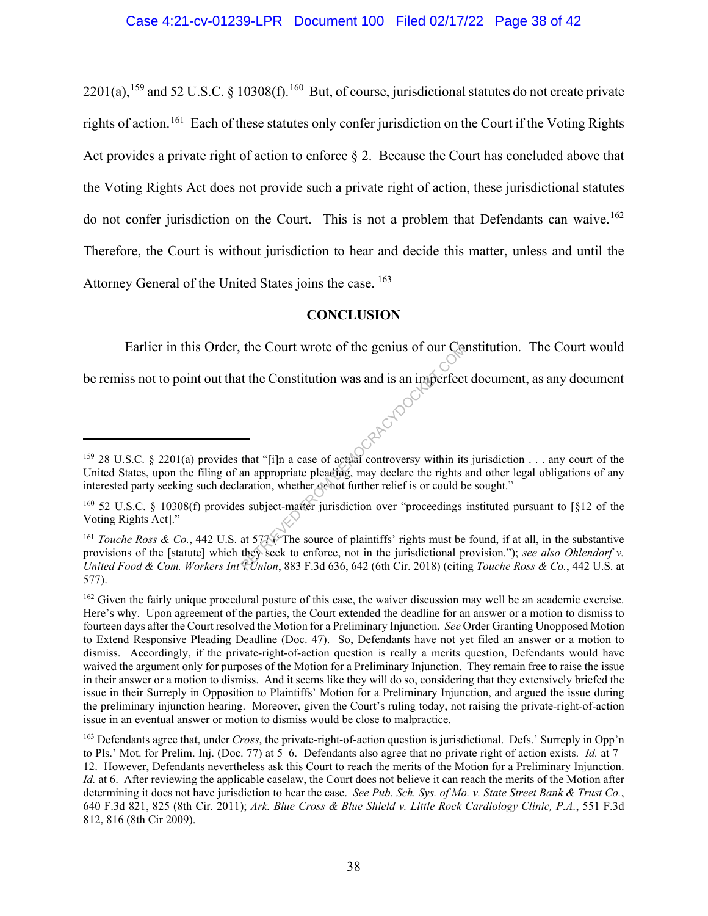$2201(a)$ ,<sup>159</sup> and 52 U.S.C. § 10308(f).<sup>160</sup> But, of course, jurisdictional statutes do not create private rights of action.<sup>161</sup> Each of these statutes only confer jurisdiction on the Court if the Voting Rights Act provides a private right of action to enforce  $\S 2$ . Because the Court has concluded above that the Voting Rights Act does not provide such a private right of action, these jurisdictional statutes do not confer jurisdiction on the Court. This is not a problem that Defendants can waive.<sup>162</sup> Therefore, the Court is without jurisdiction to hear and decide this matter, unless and until the Attorney General of the United States joins the case. <sup>163</sup>

# **CONCLUSION**

Earlier in this Order, the Court wrote of the genius of our Constitution. The Court would be remiss not to point out that the Constitution was and is an imperfect document, as any document

<sup>&</sup>lt;sup>159</sup> 28 U.S.C. § 2201(a) provides that "[i]n a case of actual controversy within its jurisdiction . . . any court of the United States, upon the filing of an appropriate pleading, may declare the rights and other legal obligations of any interested party seeking such declaration, whether or not further relief is or could be sought." CRACYDOCI

<sup>&</sup>lt;sup>160</sup> 52 U.S.C. § 10308(f) provides subject-matter jurisdiction over "proceedings instituted pursuant to [§12 of the Voting Rights Act]."

<sup>&</sup>lt;sup>161</sup> *Touche Ross & Co.*, 442 U.S. at 577 ("The source of plaintiffs' rights must be found, if at all, in the substantive provisions of the [statute] which they seek to enforce, not in the jurisdictional provision."); *see also Ohlendorf v. United Food & Com. Workers Int'l Union*, 883 F.3d 636, 642 (6th Cir. 2018) (citing *Touche Ross & Co.*, 442 U.S. at 577).

<sup>&</sup>lt;sup>162</sup> Given the fairly unique procedural posture of this case, the waiver discussion may well be an academic exercise. Here's why. Upon agreement of the parties, the Court extended the deadline for an answer or a motion to dismiss to fourteen days after the Court resolved the Motion for a Preliminary Injunction. *See* Order Granting Unopposed Motion to Extend Responsive Pleading Deadline (Doc. 47). So, Defendants have not yet filed an answer or a motion to dismiss. Accordingly, if the private-right-of-action question is really a merits question, Defendants would have waived the argument only for purposes of the Motion for a Preliminary Injunction. They remain free to raise the issue in their answer or a motion to dismiss. And it seems like they will do so, considering that they extensively briefed the issue in their Surreply in Opposition to Plaintiffs' Motion for a Preliminary Injunction, and argued the issue during the preliminary injunction hearing. Moreover, given the Court's ruling today, not raising the private-right-of-action issue in an eventual answer or motion to dismiss would be close to malpractice.

<sup>163</sup> Defendants agree that, under *Cross*, the private-right-of-action question is jurisdictional. Defs.' Surreply in Opp'n to Pls.' Mot. for Prelim. Inj. (Doc. 77) at 5–6. Defendants also agree that no private right of action exists. *Id.* at 7– 12. However, Defendants nevertheless ask this Court to reach the merits of the Motion for a Preliminary Injunction. *Id.* at 6. After reviewing the applicable caselaw, the Court does not believe it can reach the merits of the Motion after determining it does not have jurisdiction to hear the case. *See Pub. Sch. Sys. of Mo. v. State Street Bank & Trust Co.*, 640 F.3d 821, 825 (8th Cir. 2011); *Ark. Blue Cross & Blue Shield v. Little Rock Cardiology Clinic, P.A.*, 551 F.3d 812, 816 (8th Cir 2009).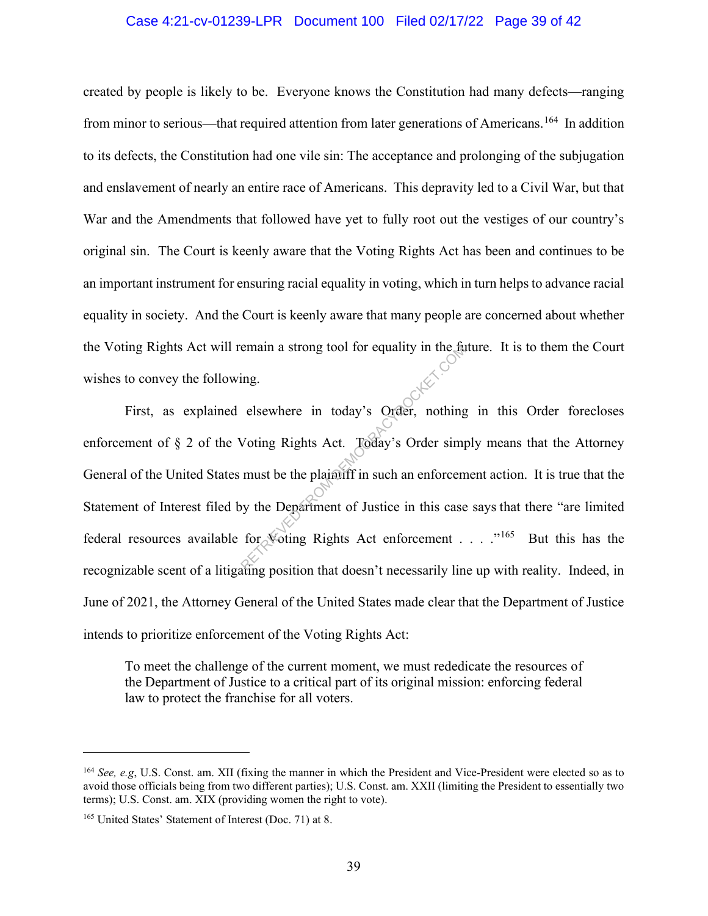#### Case 4:21-cv-01239-LPR Document 100 Filed 02/17/22 Page 39 of 42

created by people is likely to be. Everyone knows the Constitution had many defects—ranging from minor to serious—that required attention from later generations of Americans.<sup>164</sup> In addition to its defects, the Constitution had one vile sin: The acceptance and prolonging of the subjugation and enslavement of nearly an entire race of Americans. This depravity led to a Civil War, but that War and the Amendments that followed have yet to fully root out the vestiges of our country's original sin. The Court is keenly aware that the Voting Rights Act has been and continues to be an important instrument for ensuring racial equality in voting, which in turn helps to advance racial equality in society. And the Court is keenly aware that many people are concerned about whether the Voting Rights Act will remain a strong tool for equality in the future. It is to them the Court wishes to convey the following.

First, as explained elsewhere in today's Order, nothing in this Order forecloses enforcement of § 2 of the Voting Rights Act. Today's Order simply means that the Attorney General of the United States must be the plaintiff in such an enforcement action. It is true that the Statement of Interest filed by the Department of Justice in this case says that there "are limited federal resources available for Voting Rights Act enforcement . . . . "<sup>165</sup> But this has the recognizable scent of a litigating position that doesn't necessarily line up with reality. Indeed, in June of 2021, the Attorney General of the United States made clear that the Department of Justice intends to prioritize enforcement of the Voting Rights Act: The teman a strong tool for equality in the turns<br>ing.<br>elsewhere in today's Order, nothing<br>Voting Rights Act. Today's Order simp<br>must be the plaintiff in such an enforcem<br>by the Department of Justice in this case<br>for Votin

To meet the challenge of the current moment, we must rededicate the resources of the Department of Justice to a critical part of its original mission: enforcing federal law to protect the franchise for all voters.

<sup>164</sup> *See, e.g*, U.S. Const. am. XII (fixing the manner in which the President and Vice-President were elected so as to avoid those officials being from two different parties); U.S. Const. am. XXII (limiting the President to essentially two terms); U.S. Const. am. XIX (providing women the right to vote).

<sup>165</sup> United States' Statement of Interest (Doc. 71) at 8.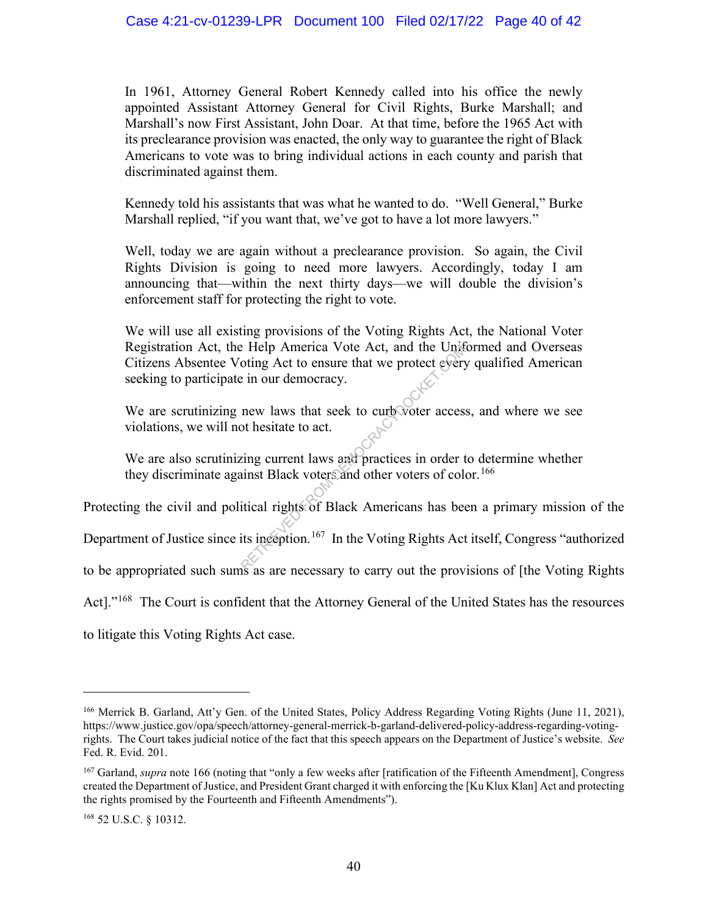In 1961, Attorney General Robert Kennedy called into his office the newly appointed Assistant Attorney General for Civil Rights, Burke Marshall; and Marshall's now First Assistant, John Doar. At that time, before the 1965 Act with its preclearance provision was enacted, the only way to guarantee the right of Black Americans to vote was to bring individual actions in each county and parish that discriminated against them.

Kennedy told his assistants that was what he wanted to do. "Well General," Burke Marshall replied, "if you want that, we've got to have a lot more lawyers."

Well, today we are again without a preclearance provision. So again, the Civil Rights Division is going to need more lawyers. Accordingly, today I am announcing that—within the next thirty days—we will double the division's enforcement staff for protecting the right to vote.

We will use all existing provisions of the Voting Rights Act, the National Voter Registration Act, the Help America Vote Act, and the Uniformed and Overseas Citizens Absentee Voting Act to ensure that we protect every qualified American seeking to participate in our democracy. RETRIEVED America Vote Act, and the Unit of the Unit of the Unit of the Unit of the Server of the Server of the Unit of the Server of the Server of the Server of the Unit of Black Americans has been it interesting current

We are scrutinizing new laws that seek to curb voter access, and where we see violations, we will not hesitate to act.

We are also scrutinizing current laws and practices in order to determine whether they discriminate against Black voters and other voters of color.<sup>166</sup>

Protecting the civil and political rights of Black Americans has been a primary mission of the

Department of Justice since its inception.<sup>167</sup> In the Voting Rights Act itself, Congress "authorized

to be appropriated such sums as are necessary to carry out the provisions of [the Voting Rights

Act]."<sup>168</sup> The Court is confident that the Attorney General of the United States has the resources

to litigate this Voting Rights Act case.

<sup>&</sup>lt;sup>166</sup> Merrick B. Garland, Att'y Gen. of the United States, Policy Address Regarding Voting Rights (June 11, 2021), https://www.justice.gov/opa/speech/attorney-general-merrick-b-garland-delivered-policy-address-regarding-votingrights. The Court takes judicial notice of the fact that this speech appears on the Department of Justice's website. *See*  Fed. R. Evid. 201.

<sup>167</sup> Garland, *supra* note 166 (noting that "only a few weeks after [ratification of the Fifteenth Amendment], Congress created the Department of Justice, and President Grant charged it with enforcing the [Ku Klux Klan] Act and protecting the rights promised by the Fourteenth and Fifteenth Amendments").

<sup>168</sup> 52 U.S.C. § 10312.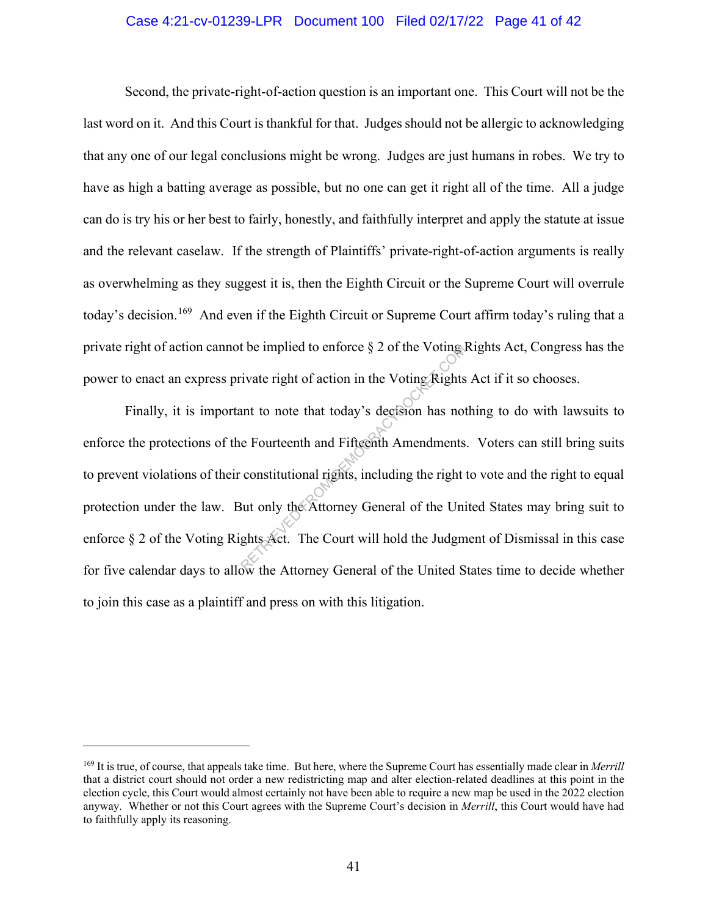#### Case 4:21-cv-01239-LPR Document 100 Filed 02/17/22 Page 41 of 42

Second, the private-right-of-action question is an important one. This Court will not be the last word on it. And this Court is thankful for that. Judges should not be allergic to acknowledging that any one of our legal conclusions might be wrong. Judges are just humans in robes. We try to have as high a batting average as possible, but no one can get it right all of the time. All a judge can do is try his or her best to fairly, honestly, and faithfully interpret and apply the statute at issue and the relevant caselaw. If the strength of Plaintiffs' private-right-of-action arguments is really as overwhelming as they suggest it is, then the Eighth Circuit or the Supreme Court will overrule today's decision.<sup>169</sup> And even if the Eighth Circuit or Supreme Court affirm today's ruling that a private right of action cannot be implied to enforce § 2 of the Voting Rights Act, Congress has the power to enact an express private right of action in the Voting Rights Act if it so chooses.

 Finally, it is important to note that today's decision has nothing to do with lawsuits to enforce the protections of the Fourteenth and Fifteenth Amendments. Voters can still bring suits to prevent violations of their constitutional rights, including the right to vote and the right to equal protection under the law. But only the Attorney General of the United States may bring suit to enforce § 2 of the Voting Rights Act. The Court will hold the Judgment of Dismissal in this case for five calendar days to allow the Attorney General of the United States time to decide whether to join this case as a plaintiff and press on with this litigation. tivate right of action in the Voting Rights<br>
ivate right of action in the Voting Rights<br>
ant to note that today's decision has not<br>
e Fourteenth and Fifteenth Amendments<br>
constitutional rights, including the right<br>
But onl

<sup>169</sup> It is true, of course, that appeals take time. But here, where the Supreme Court has essentially made clear in *Merrill* that a district court should not order a new redistricting map and alter election-related deadlines at this point in the election cycle, this Court would almost certainly not have been able to require a new map be used in the 2022 election anyway. Whether or not this Court agrees with the Supreme Court's decision in *Merrill*, this Court would have had to faithfully apply its reasoning.